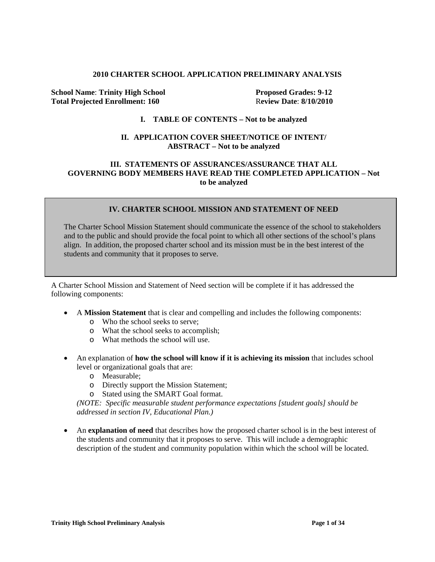#### **2010 CHARTER SCHOOL APPLICATION PRELIMINARY ANALYSIS**

**School Name: Trinity High School Proposed Grades: 9-12 Total Projected Enrollment: 160** R**eview Date**: **8/10/2010**

### **I. TABLE OF CONTENTS – Not to be analyzed**

### **II. APPLICATION COVER SHEET/NOTICE OF INTENT/ ABSTRACT – Not to be analyzed**

#### **III. STATEMENTS OF ASSURANCES/ASSURANCE THAT ALL GOVERNING BODY MEMBERS HAVE READ THE COMPLETED APPLICATION – Not to be analyzed**

### **IV. CHARTER SCHOOL MISSION AND STATEMENT OF NEED**

The Charter School Mission Statement should communicate the essence of the school to stakeholders and to the public and should provide the focal point to which all other sections of the school's plans align. In addition, the proposed charter school and its mission must be in the best interest of the students and community that it proposes to serve.

A Charter School Mission and Statement of Need section will be complete if it has addressed the following components:

- A **Mission Statement** that is clear and compelling and includes the following components:
	- o Who the school seeks to serve;
	- o What the school seeks to accomplish;
	- o What methods the school will use.
- An explanation of **how the school will know if it is achieving its mission** that includes school level or organizational goals that are:
	- o Measurable;
	- o Directly support the Mission Statement;
	- o Stated using the SMART Goal format.

*(NOTE: Specific measurable student performance expectations [student goals] should be addressed in section IV, Educational Plan.)*

• An **explanation of need** that describes how the proposed charter school is in the best interest of the students and community that it proposes to serve. This will include a demographic description of the student and community population within which the school will be located.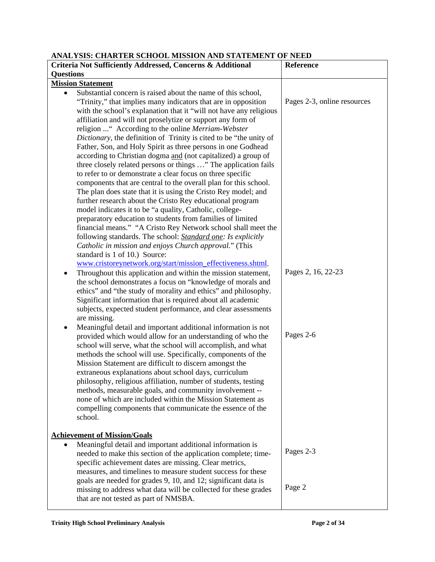**ANALYSIS: CHARTER SCHOOL MISSION AND STATEMENT OF NEED**

| ANALTSIS. CHARTER SCHOOL MISSION AND STATEMENT OF NEED<br>Criteria Not Sufficiently Addressed, Concerns & Additional | Reference                   |
|----------------------------------------------------------------------------------------------------------------------|-----------------------------|
| <b>Questions</b>                                                                                                     |                             |
| <b>Mission Statement</b>                                                                                             |                             |
| Substantial concern is raised about the name of this school,<br>$\bullet$                                            |                             |
| "Trinity," that implies many indicators that are in opposition                                                       | Pages 2-3, online resources |
|                                                                                                                      |                             |
| with the school's explanation that it "will not have any religious                                                   |                             |
| affiliation and will not proselytize or support any form of                                                          |                             |
| religion  "According to the online Merriam-Webster                                                                   |                             |
| Dictionary, the definition of Trinity is cited to be "the unity of                                                   |                             |
| Father, Son, and Holy Spirit as three persons in one Godhead                                                         |                             |
| according to Christian dogma and (not capitalized) a group of                                                        |                             |
| three closely related persons or things " The application fails                                                      |                             |
| to refer to or demonstrate a clear focus on three specific                                                           |                             |
| components that are central to the overall plan for this school.                                                     |                             |
| The plan does state that it is using the Cristo Rey model; and                                                       |                             |
| further research about the Cristo Rey educational program                                                            |                             |
| model indicates it to be "a quality, Catholic, college-                                                              |                             |
| preparatory education to students from families of limited                                                           |                             |
| financial means." "A Cristo Rey Network school shall meet the                                                        |                             |
| following standards. The school: <i>Standard one: Is explicitly</i>                                                  |                             |
| Catholic in mission and enjoys Church approval." (This                                                               |                             |
| standard is 1 of 10.) Source:                                                                                        |                             |
| www.cristoreynetwork.org/start/mission_effectiveness.shtml.                                                          |                             |
| Throughout this application and within the mission statement,                                                        | Pages 2, 16, 22-23          |
| the school demonstrates a focus on "knowledge of morals and                                                          |                             |
| ethics" and "the study of morality and ethics" and philosophy.                                                       |                             |
| Significant information that is required about all academic                                                          |                             |
| subjects, expected student performance, and clear assessments                                                        |                             |
| are missing.                                                                                                         |                             |
| Meaningful detail and important additional information is not<br>٠                                                   |                             |
| provided which would allow for an understanding of who the                                                           | Pages 2-6                   |
| school will serve, what the school will accomplish, and what                                                         |                             |
| methods the school will use. Specifically, components of the                                                         |                             |
| Mission Statement are difficult to discern amongst the                                                               |                             |
| extraneous explanations about school days, curriculum                                                                |                             |
| philosophy, religious affiliation, number of students, testing                                                       |                             |
| methods, measurable goals, and community involvement --                                                              |                             |
| none of which are included within the Mission Statement as                                                           |                             |
| compelling components that communicate the essence of the                                                            |                             |
| school.                                                                                                              |                             |
|                                                                                                                      |                             |
| <b>Achievement of Mission/Goals</b>                                                                                  |                             |
| Meaningful detail and important additional information is                                                            |                             |
| needed to make this section of the application complete; time-                                                       | Pages 2-3                   |
| specific achievement dates are missing. Clear metrics,                                                               |                             |
| measures, and timelines to measure student success for these                                                         |                             |
| goals are needed for grades 9, 10, and 12; significant data is                                                       |                             |
| missing to address what data will be collected for these grades                                                      | Page 2                      |
| that are not tested as part of NMSBA.                                                                                |                             |
|                                                                                                                      |                             |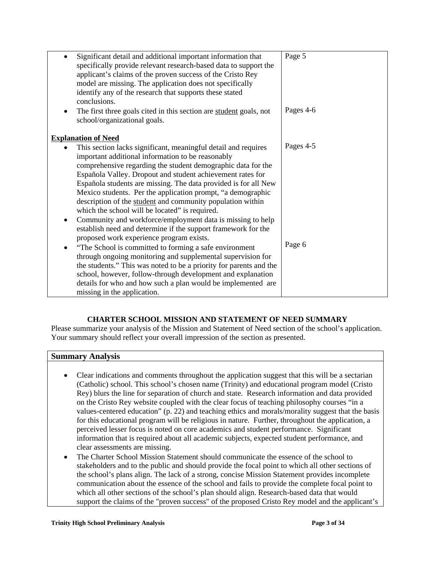| Significant detail and additional important information that<br>specifically provide relevant research-based data to support the<br>applicant's claims of the proven success of the Cristo Rey<br>model are missing. The application does not specifically<br>identify any of the research that supports these stated<br>conclusions.                                                                                                                                                                                                                                                                                                                                          | Page 5    |
|--------------------------------------------------------------------------------------------------------------------------------------------------------------------------------------------------------------------------------------------------------------------------------------------------------------------------------------------------------------------------------------------------------------------------------------------------------------------------------------------------------------------------------------------------------------------------------------------------------------------------------------------------------------------------------|-----------|
| The first three goals cited in this section are student goals, not<br>school/organizational goals.                                                                                                                                                                                                                                                                                                                                                                                                                                                                                                                                                                             | Pages 4-6 |
| <b>Explanation of Need</b>                                                                                                                                                                                                                                                                                                                                                                                                                                                                                                                                                                                                                                                     |           |
| This section lacks significant, meaningful detail and requires<br>important additional information to be reasonably<br>comprehensive regarding the student demographic data for the<br>Española Valley. Dropout and student achievement rates for<br>Española students are missing. The data provided is for all New<br>Mexico students. Per the application prompt, "a demographic<br>description of the student and community population within<br>which the school will be located" is required.<br>Community and workforce/employment data is missing to help<br>establish need and determine if the support framework for the<br>proposed work experience program exists. | Pages 4-5 |
| "The School is committed to forming a safe environment<br>٠<br>through ongoing monitoring and supplemental supervision for<br>the students." This was noted to be a priority for parents and the<br>school, however, follow-through development and explanation<br>details for who and how such a plan would be implemented are                                                                                                                                                                                                                                                                                                                                                | Page 6    |
| missing in the application.                                                                                                                                                                                                                                                                                                                                                                                                                                                                                                                                                                                                                                                    |           |

# **CHARTER SCHOOL MISSION AND STATEMENT OF NEED SUMMARY**

Please summarize your analysis of the Mission and Statement of Need section of the school's application. Your summary should reflect your overall impression of the section as presented.

### **Summary Analysis**

- Clear indications and comments throughout the application suggest that this will be a sectarian (Catholic) school. This school's chosen name (Trinity) and educational program model (Cristo Rey) blurs the line for separation of church and state. Research information and data provided on the Cristo Rey website coupled with the clear focus of teaching philosophy courses "in a values-centered education" (p. 22) and teaching ethics and morals/morality suggest that the basis for this educational program will be religious in nature. Further, throughout the application, a perceived lesser focus is noted on core academics and student performance. Significant information that is required about all academic subjects, expected student performance, and clear assessments are missing.
- The Charter School Mission Statement should communicate the essence of the school to stakeholders and to the public and should provide the focal point to which all other sections of the school's plans align. The lack of a strong, concise Mission Statement provides incomplete communication about the essence of the school and fails to provide the complete focal point to which all other sections of the school's plan should align. Research-based data that would support the claims of the "proven success" of the proposed Cristo Rey model and the applicant's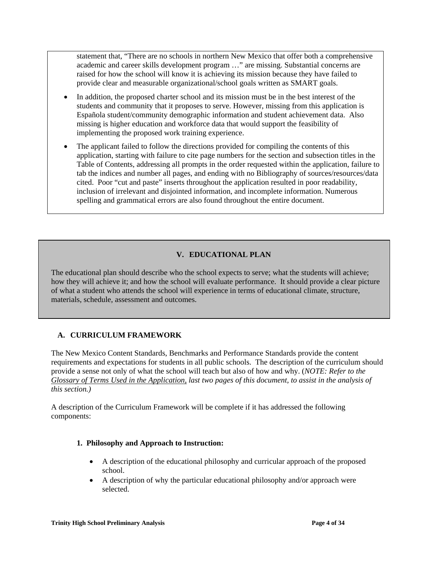statement that, "There are no schools in northern New Mexico that offer both a comprehensive academic and career skills development program …" are missing. Substantial concerns are raised for how the school will know it is achieving its mission because they have failed to provide clear and measurable organizational/school goals written as SMART goals.

- In addition, the proposed charter school and its mission must be in the best interest of the students and community that it proposes to serve. However, missing from this application is Española student/community demographic information and student achievement data. Also missing is higher education and workforce data that would support the feasibility of implementing the proposed work training experience.
- The applicant failed to follow the directions provided for compiling the contents of this application, starting with failure to cite page numbers for the section and subsection titles in the Table of Contents, addressing all prompts in the order requested within the application, failure to tab the indices and number all pages, and ending with no Bibliography of sources/resources/data cited. Poor "cut and paste" inserts throughout the application resulted in poor readability, inclusion of irrelevant and disjointed information, and incomplete information. Numerous spelling and grammatical errors are also found throughout the entire document.

# **V. EDUCATIONAL PLAN**

The educational plan should describe who the school expects to serve; what the students will achieve; how they will achieve it; and how the school will evaluate performance. It should provide a clear picture of what a student who attends the school will experience in terms of educational climate, structure, materials, schedule, assessment and outcomes.

# **A. CURRICULUM FRAMEWORK**

The New Mexico Content Standards, Benchmarks and Performance Standards provide the content requirements and expectations for students in all public schools. The description of the curriculum should provide a sense not only of what the school will teach but also of how and why. (*NOTE: Refer to the Glossary of Terms Used in the Application, last two pages of this document, to assist in the analysis of this section.)*

A description of the Curriculum Framework will be complete if it has addressed the following components:

### **1. Philosophy and Approach to Instruction:**

- A description of the educational philosophy and curricular approach of the proposed school.
- A description of why the particular educational philosophy and/or approach were selected.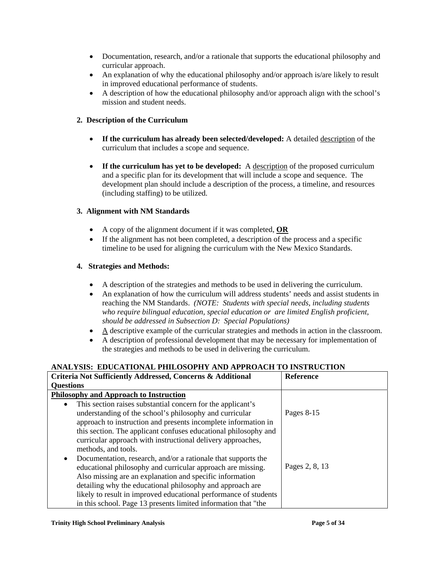- Documentation, research, and/or a rationale that supports the educational philosophy and curricular approach.
- An explanation of why the educational philosophy and/or approach is/are likely to result in improved educational performance of students.
- A description of how the educational philosophy and/or approach align with the school's mission and student needs.

### **2. Description of the Curriculum**

- **If the curriculum has already been selected/developed:** A detailed description of the curriculum that includes a scope and sequence.
- If the curriculum has yet to be developed: A description of the proposed curriculum and a specific plan for its development that will include a scope and sequence. The development plan should include a description of the process, a timeline, and resources (including staffing) to be utilized.

### **3. Alignment with NM Standards**

- A copy of the alignment document if it was completed, **OR**
- If the alignment has not been completed, a description of the process and a specific timeline to be used for aligning the curriculum with the New Mexico Standards.

### **4. Strategies and Methods:**

- A description of the strategies and methods to be used in delivering the curriculum.
- An explanation of how the curriculum will address students' needs and assist students in reaching the NM Standards. *(NOTE: Students with special needs, including students who require bilingual education, special education or are limited English proficient, should be addressed in Subsection D: Special Populations)*
- A descriptive example of the curricular strategies and methods in action in the classroom.
- A description of professional development that may be necessary for implementation of the strategies and methods to be used in delivering the curriculum.

# **ANALYSIS: EDUCATIONAL PHILOSOPHY AND APPROACH TO INSTRUCTION**

| Criteria Not Sufficiently Addressed, Concerns & Additional<br><b>Questions</b>                                                                                                                                                                                                                                                                                                                           | <b>Reference</b> |
|----------------------------------------------------------------------------------------------------------------------------------------------------------------------------------------------------------------------------------------------------------------------------------------------------------------------------------------------------------------------------------------------------------|------------------|
| <b>Philosophy and Approach to Instruction</b>                                                                                                                                                                                                                                                                                                                                                            |                  |
| This section raises substantial concern for the applicant's<br>$\bullet$<br>understanding of the school's philosophy and curricular<br>approach to instruction and presents incomplete information in<br>this section. The applicant confuses educational philosophy and<br>curricular approach with instructional delivery approaches,<br>methods, and tools.                                           | Pages 8-15       |
| Documentation, research, and/or a rationale that supports the<br>$\bullet$<br>educational philosophy and curricular approach are missing.<br>Also missing are an explanation and specific information<br>detailing why the educational philosophy and approach are<br>likely to result in improved educational performance of students<br>in this school. Page 13 presents limited information that "the | Pages 2, 8, 13   |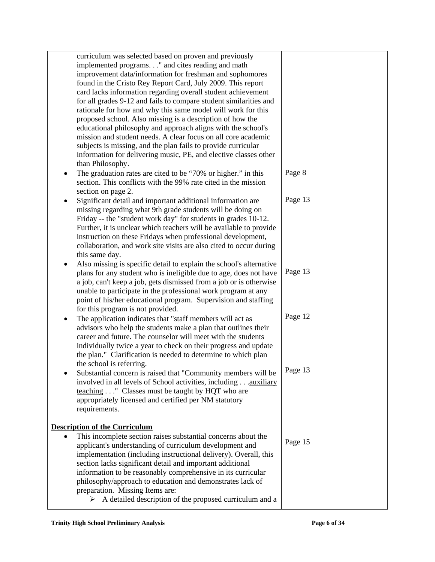| curriculum was selected based on proven and previously                     |         |
|----------------------------------------------------------------------------|---------|
| implemented programs." and cites reading and math                          |         |
| improvement data/information for freshman and sophomores                   |         |
| found in the Cristo Rey Report Card, July 2009. This report                |         |
| card lacks information regarding overall student achievement               |         |
| for all grades 9-12 and fails to compare student similarities and          |         |
| rationale for how and why this same model will work for this               |         |
| proposed school. Also missing is a description of how the                  |         |
|                                                                            |         |
| educational philosophy and approach aligns with the school's               |         |
| mission and student needs. A clear focus on all core academic              |         |
| subjects is missing, and the plan fails to provide curricular              |         |
| information for delivering music, PE, and elective classes other           |         |
| than Philosophy.                                                           |         |
| The graduation rates are cited to be "70% or higher." in this<br>٠         | Page 8  |
| section. This conflicts with the 99% rate cited in the mission             |         |
| section on page 2.                                                         |         |
| Significant detail and important additional information are<br>$\bullet$   | Page 13 |
| missing regarding what 9th grade students will be doing on                 |         |
| Friday -- the "student work day" for students in grades 10-12.             |         |
| Further, it is unclear which teachers will be available to provide         |         |
| instruction on these Fridays when professional development,                |         |
| collaboration, and work site visits are also cited to occur during         |         |
| this same day.                                                             |         |
| Also missing is specific detail to explain the school's alternative<br>٠   |         |
| plans for any student who is ineligible due to age, does not have          | Page 13 |
| a job, can't keep a job, gets dismissed from a job or is otherwise         |         |
| unable to participate in the professional work program at any              |         |
| point of his/her educational program. Supervision and staffing             |         |
| for this program is not provided.                                          |         |
| The application indicates that "staff members will act as<br>٠             | Page 12 |
| advisors who help the students make a plan that outlines their             |         |
| career and future. The counselor will meet with the students               |         |
| individually twice a year to check on their progress and update            |         |
|                                                                            |         |
| the plan." Clarification is needed to determine to which plan              |         |
| the school is referring.                                                   | Page 13 |
| Substantial concern is raised that "Community members will be              |         |
| involved in all levels of School activities, including auxiliary           |         |
| teaching " Classes must be taught by HQT who are                           |         |
| appropriately licensed and certified per NM statutory                      |         |
| requirements.                                                              |         |
|                                                                            |         |
| <b>Description of the Curriculum</b>                                       |         |
| This incomplete section raises substantial concerns about the<br>$\bullet$ | Page 15 |
| applicant's understanding of curriculum development and                    |         |
| implementation (including instructional delivery). Overall, this           |         |
| section lacks significant detail and important additional                  |         |
| information to be reasonably comprehensive in its curricular               |         |
| philosophy/approach to education and demonstrates lack of                  |         |
| preparation. Missing Items are:                                            |         |
| A detailed description of the proposed curriculum and a<br>➤               |         |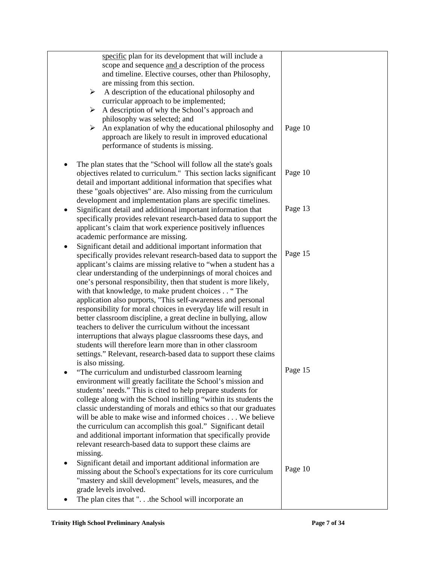| specific plan for its development that will include a                    |         |
|--------------------------------------------------------------------------|---------|
| scope and sequence and a description of the process                      |         |
|                                                                          |         |
| and timeline. Elective courses, other than Philosophy,                   |         |
| are missing from this section.                                           |         |
| A description of the educational philosophy and<br>$\blacktriangleright$ |         |
| curricular approach to be implemented;                                   |         |
| A description of why the School's approach and<br>≻                      |         |
| philosophy was selected; and                                             |         |
| An explanation of why the educational philosophy and<br>➤                | Page 10 |
| approach are likely to result in improved educational                    |         |
| performance of students is missing.                                      |         |
|                                                                          |         |
|                                                                          |         |
| The plan states that the "School will follow all the state's goals       |         |
| objectives related to curriculum." This section lacks significant        | Page 10 |
| detail and important additional information that specifies what          |         |
| these "goals objectives" are. Also missing from the curriculum           |         |
| development and implementation plans are specific timelines.             |         |
| Significant detail and additional important information that<br>٠        | Page 13 |
| specifically provides relevant research-based data to support the        |         |
| applicant's claim that work experience positively influences             |         |
| academic performance are missing.                                        |         |
| Significant detail and additional important information that             |         |
| specifically provides relevant research-based data to support the        | Page 15 |
|                                                                          |         |
| applicant's claims are missing relative to "when a student has a         |         |
| clear understanding of the underpinnings of moral choices and            |         |
| one's personal responsibility, then that student is more likely,         |         |
| with that knowledge, to make prudent choices "The                        |         |
| application also purports, "This self-awareness and personal             |         |
| responsibility for moral choices in everyday life will result in         |         |
| better classroom discipline, a great decline in bullying, allow          |         |
| teachers to deliver the curriculum without the incessant                 |         |
| interruptions that always plague classrooms these days, and              |         |
| students will therefore learn more than in other classroom               |         |
| settings." Relevant, research-based data to support these claims         |         |
| is also missing.                                                         |         |
| "The curriculum and undisturbed classroom learning                       | Page 15 |
|                                                                          |         |
| environment will greatly facilitate the School's mission and             |         |
| students' needs." This is cited to help prepare students for             |         |
| college along with the School instilling "within its students the        |         |
| classic understanding of morals and ethics so that our graduates         |         |
| will be able to make wise and informed choices We believe                |         |
| the curriculum can accomplish this goal." Significant detail             |         |
| and additional important information that specifically provide           |         |
| relevant research-based data to support these claims are                 |         |
| missing.                                                                 |         |
| Significant detail and important additional information are              |         |
| missing about the School's expectations for its core curriculum          | Page 10 |
|                                                                          |         |
| "mastery and skill development" levels, measures, and the                |         |
| grade levels involved.                                                   |         |
| The plan cites that ".the School will incorporate an                     |         |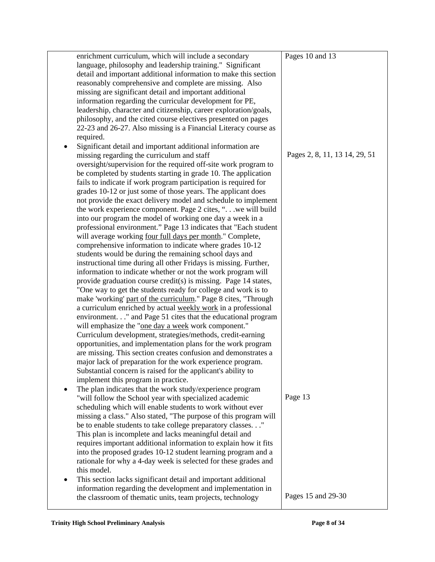|   | enrichment curriculum, which will include a secondary                                                                           | Pages 10 and 13               |
|---|---------------------------------------------------------------------------------------------------------------------------------|-------------------------------|
|   | language, philosophy and leadership training." Significant                                                                      |                               |
|   | detail and important additional information to make this section                                                                |                               |
|   | reasonably comprehensive and complete are missing. Also                                                                         |                               |
|   | missing are significant detail and important additional                                                                         |                               |
|   | information regarding the curricular development for PE,                                                                        |                               |
|   | leadership, character and citizenship, career exploration/goals,                                                                |                               |
|   | philosophy, and the cited course electives presented on pages                                                                   |                               |
|   | 22-23 and 26-27. Also missing is a Financial Literacy course as                                                                 |                               |
|   | required.                                                                                                                       |                               |
|   | Significant detail and important additional information are                                                                     |                               |
|   | missing regarding the curriculum and staff                                                                                      | Pages 2, 8, 11, 13 14, 29, 51 |
|   | oversight/supervision for the required off-site work program to                                                                 |                               |
|   | be completed by students starting in grade 10. The application                                                                  |                               |
|   |                                                                                                                                 |                               |
|   | fails to indicate if work program participation is required for                                                                 |                               |
|   | grades 10-12 or just some of those years. The applicant does                                                                    |                               |
|   | not provide the exact delivery model and schedule to implement<br>the work experience component. Page 2 cites, ". we will build |                               |
|   | into our program the model of working one day a week in a                                                                       |                               |
|   | professional environment." Page 13 indicates that "Each student                                                                 |                               |
|   | will average working four full days per month." Complete,                                                                       |                               |
|   | comprehensive information to indicate where grades 10-12                                                                        |                               |
|   | students would be during the remaining school days and                                                                          |                               |
|   | instructional time during all other Fridays is missing. Further,                                                                |                               |
|   | information to indicate whether or not the work program will                                                                    |                               |
|   | provide graduation course credit(s) is missing. Page 14 states,                                                                 |                               |
|   | "One way to get the students ready for college and work is to                                                                   |                               |
|   | make 'working' part of the curriculum." Page 8 cites, "Through                                                                  |                               |
|   | a curriculum enriched by actual weekly work in a professional                                                                   |                               |
|   | environment." and Page 51 cites that the educational program                                                                    |                               |
|   | will emphasize the "one day a week work component."                                                                             |                               |
|   | Curriculum development, strategies/methods, credit-earning                                                                      |                               |
|   | opportunities, and implementation plans for the work program                                                                    |                               |
|   | are missing. This section creates confusion and demonstrates a                                                                  |                               |
|   | major lack of preparation for the work experience program.                                                                      |                               |
|   | Substantial concern is raised for the applicant's ability to                                                                    |                               |
|   | implement this program in practice.                                                                                             |                               |
|   | The plan indicates that the work study/experience program                                                                       |                               |
|   |                                                                                                                                 | Page 13                       |
|   | "will follow the School year with specialized academic<br>scheduling which will enable students to work without ever            |                               |
|   | missing a class." Also stated, "The purpose of this program will                                                                |                               |
|   | be to enable students to take college preparatory classes."                                                                     |                               |
|   | This plan is incomplete and lacks meaningful detail and                                                                         |                               |
|   | requires important additional information to explain how it fits                                                                |                               |
|   | into the proposed grades 10-12 student learning program and a                                                                   |                               |
|   | rationale for why a 4-day week is selected for these grades and                                                                 |                               |
|   | this model.                                                                                                                     |                               |
|   |                                                                                                                                 |                               |
| ٠ | This section lacks significant detail and important additional<br>information regarding the development and implementation in   |                               |
|   | the classroom of thematic units, team projects, technology                                                                      | Pages 15 and 29-30            |
|   |                                                                                                                                 |                               |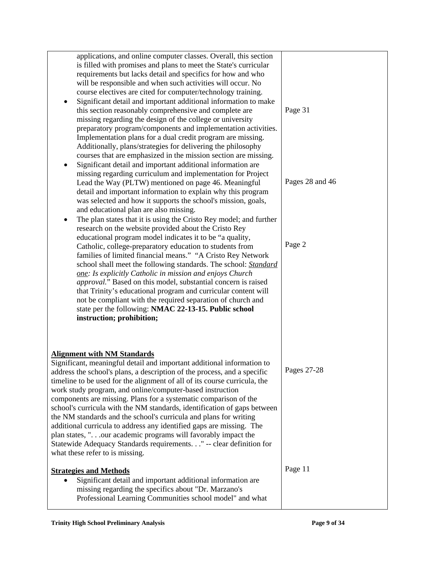| applications, and online computer classes. Overall, this section<br>is filled with promises and plans to meet the State's curricular<br>requirements but lacks detail and specifics for how and who<br>will be responsible and when such activities will occur. No<br>course electives are cited for computer/technology training.<br>Significant detail and important additional information to make<br>this section reasonably comprehensive and complete are<br>missing regarding the design of the college or university<br>preparatory program/components and implementation activities.<br>Implementation plans for a dual credit program are missing.<br>Additionally, plans/strategies for delivering the philosophy<br>courses that are emphasized in the mission section are missing.<br>Significant detail and important additional information are<br>$\bullet$<br>missing regarding curriculum and implementation for Project<br>Lead the Way (PLTW) mentioned on page 46. Meaningful<br>detail and important information to explain why this program<br>was selected and how it supports the school's mission, goals,<br>and educational plan are also missing.<br>The plan states that it is using the Cristo Rey model; and further<br>٠ | Page 31<br>Pages 28 and 46 |
|----------------------------------------------------------------------------------------------------------------------------------------------------------------------------------------------------------------------------------------------------------------------------------------------------------------------------------------------------------------------------------------------------------------------------------------------------------------------------------------------------------------------------------------------------------------------------------------------------------------------------------------------------------------------------------------------------------------------------------------------------------------------------------------------------------------------------------------------------------------------------------------------------------------------------------------------------------------------------------------------------------------------------------------------------------------------------------------------------------------------------------------------------------------------------------------------------------------------------------------------------------|----------------------------|
| research on the website provided about the Cristo Rey<br>educational program model indicates it to be "a quality,<br>Catholic, college-preparatory education to students from<br>families of limited financial means." "A Cristo Rey Network<br>school shall meet the following standards. The school: Standard<br>one: Is explicitly Catholic in mission and enjoys Church<br>approval." Based on this model, substantial concern is raised<br>that Trinity's educational program and curricular content will<br>not be compliant with the required separation of church and<br>state per the following: NMAC 22-13-15. Public school<br>instruction; prohibition;                                                                                                                                                                                                                                                                                                                                                                                                                                                                                                                                                                                      | Page 2                     |
| <b>Alignment with NM Standards</b><br>Significant, meaningful detail and important additional information to<br>address the school's plans, a description of the process, and a specific<br>timeline to be used for the alignment of all of its course curricula, the<br>work study program, and online/computer-based instruction<br>components are missing. Plans for a systematic comparison of the<br>school's curricula with the NM standards, identification of gaps between<br>the NM standards and the school's curricula and plans for writing<br>additional curricula to address any identified gaps are missing. The<br>plan states, ".our academic programs will favorably impact the<br>Statewide Adequacy Standards requirements." -- clear definition for<br>what these refer to is missing.                                                                                                                                                                                                                                                                                                                                                                                                                                              | Pages 27-28                |
| <b>Strategies and Methods</b><br>Significant detail and important additional information are<br>missing regarding the specifics about "Dr. Marzano's<br>Professional Learning Communities school model" and what                                                                                                                                                                                                                                                                                                                                                                                                                                                                                                                                                                                                                                                                                                                                                                                                                                                                                                                                                                                                                                         | Page 11                    |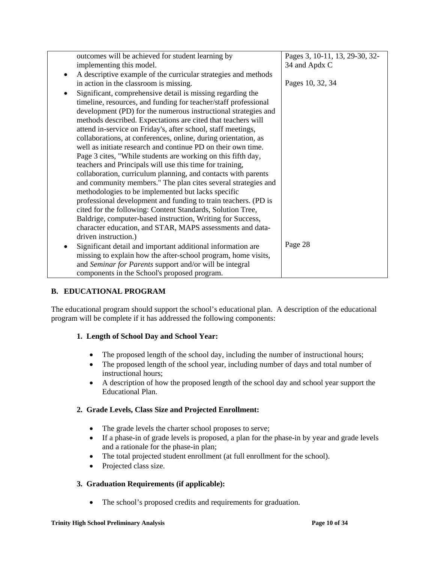| outcomes will be achieved for student learning by               | Pages 3, 10-11, 13, 29-30, 32- |
|-----------------------------------------------------------------|--------------------------------|
| implementing this model.                                        | 34 and Apdx C                  |
| A descriptive example of the curricular strategies and methods  |                                |
| in action in the classroom is missing.                          | Pages 10, 32, 34               |
| Significant, comprehensive detail is missing regarding the      |                                |
| timeline, resources, and funding for teacher/staff professional |                                |
| development (PD) for the numerous instructional strategies and  |                                |
| methods described. Expectations are cited that teachers will    |                                |
| attend in-service on Friday's, after school, staff meetings,    |                                |
| collaborations, at conferences, online, during orientation, as  |                                |
| well as initiate research and continue PD on their own time.    |                                |
| Page 3 cites, "While students are working on this fifth day,    |                                |
| teachers and Principals will use this time for training,        |                                |
| collaboration, curriculum planning, and contacts with parents   |                                |
| and community members." The plan cites several strategies and   |                                |
| methodologies to be implemented but lacks specific              |                                |
| professional development and funding to train teachers. (PD is  |                                |
| cited for the following: Content Standards, Solution Tree,      |                                |
| Baldrige, computer-based instruction, Writing for Success,      |                                |
| character education, and STAR, MAPS assessments and data-       |                                |
| driven instruction.)                                            |                                |
| Significant detail and important additional information are     | Page 28                        |
| missing to explain how the after-school program, home visits,   |                                |
| and Seminar for Parents support and/or will be integral         |                                |
| components in the School's proposed program.                    |                                |

# **B. EDUCATIONAL PROGRAM**

The educational program should support the school's educational plan. A description of the educational program will be complete if it has addressed the following components:

# **1. Length of School Day and School Year:**

- The proposed length of the school day, including the number of instructional hours;
- The proposed length of the school year, including number of days and total number of instructional hours;
- A description of how the proposed length of the school day and school year support the Educational Plan.

# **2. Grade Levels, Class Size and Projected Enrollment:**

- The grade levels the charter school proposes to serve;
- If a phase-in of grade levels is proposed, a plan for the phase-in by year and grade levels and a rationale for the phase-in plan;
- The total projected student enrollment (at full enrollment for the school).
- Projected class size.

# **3. Graduation Requirements (if applicable):**

• The school's proposed credits and requirements for graduation.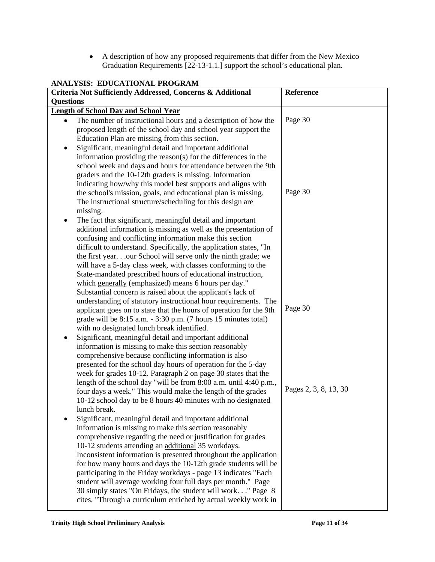• A description of how any proposed requirements that differ from the New Mexico Graduation Requirements [22-13-1.1.] support the school's educational plan.

| ANALYSIS: EDUCATIONAL PROGRAM                                                                                                  |                       |  |  |
|--------------------------------------------------------------------------------------------------------------------------------|-----------------------|--|--|
| Criteria Not Sufficiently Addressed, Concerns & Additional                                                                     | Reference             |  |  |
| <b>Questions</b>                                                                                                               |                       |  |  |
| <b>Length of School Day and School Year</b>                                                                                    |                       |  |  |
| The number of instructional hours and a description of how the<br>$\bullet$                                                    | Page 30               |  |  |
| proposed length of the school day and school year support the                                                                  |                       |  |  |
| Education Plan are missing from this section.                                                                                  |                       |  |  |
| Significant, meaningful detail and important additional                                                                        |                       |  |  |
| information providing the reason(s) for the differences in the                                                                 |                       |  |  |
| school week and days and hours for attendance between the 9th                                                                  |                       |  |  |
| graders and the 10-12th graders is missing. Information<br>indicating how/why this model best supports and aligns with         |                       |  |  |
| the school's mission, goals, and educational plan is missing.                                                                  | Page 30               |  |  |
| The instructional structure/scheduling for this design are                                                                     |                       |  |  |
| missing.                                                                                                                       |                       |  |  |
| The fact that significant, meaningful detail and important<br>٠                                                                |                       |  |  |
| additional information is missing as well as the presentation of                                                               |                       |  |  |
| confusing and conflicting information make this section                                                                        |                       |  |  |
| difficult to understand. Specifically, the application states, "In                                                             |                       |  |  |
| the first yearour School will serve only the ninth grade; we                                                                   |                       |  |  |
| will have a 5-day class week, with classes conforming to the                                                                   |                       |  |  |
| State-mandated prescribed hours of educational instruction,                                                                    |                       |  |  |
| which generally (emphasized) means 6 hours per day."                                                                           |                       |  |  |
| Substantial concern is raised about the applicant's lack of                                                                    |                       |  |  |
| understanding of statutory instructional hour requirements. The                                                                |                       |  |  |
| applicant goes on to state that the hours of operation for the 9th                                                             | Page 30               |  |  |
| grade will be $8:15$ a.m. $-3:30$ p.m. (7 hours 15 minutes total)                                                              |                       |  |  |
| with no designated lunch break identified.                                                                                     |                       |  |  |
| Significant, meaningful detail and important additional                                                                        |                       |  |  |
| information is missing to make this section reasonably                                                                         |                       |  |  |
| comprehensive because conflicting information is also                                                                          |                       |  |  |
| presented for the school day hours of operation for the 5-day<br>week for grades 10-12. Paragraph 2 on page 30 states that the |                       |  |  |
| length of the school day "will be from 8:00 a.m. until 4:40 p.m.,                                                              |                       |  |  |
| four days a week." This would make the length of the grades                                                                    | Pages 2, 3, 8, 13, 30 |  |  |
| 10-12 school day to be 8 hours 40 minutes with no designated                                                                   |                       |  |  |
| lunch break.                                                                                                                   |                       |  |  |
| Significant, meaningful detail and important additional                                                                        |                       |  |  |
| information is missing to make this section reasonably                                                                         |                       |  |  |
| comprehensive regarding the need or justification for grades                                                                   |                       |  |  |
| 10-12 students attending an additional 35 workdays.                                                                            |                       |  |  |
| Inconsistent information is presented throughout the application                                                               |                       |  |  |
| for how many hours and days the 10-12th grade students will be                                                                 |                       |  |  |
| participating in the Friday workdays - page 13 indicates "Each                                                                 |                       |  |  |
| student will average working four full days per month." Page                                                                   |                       |  |  |
| 30 simply states "On Fridays, the student will work" Page 8                                                                    |                       |  |  |
| cites, "Through a curriculum enriched by actual weekly work in                                                                 |                       |  |  |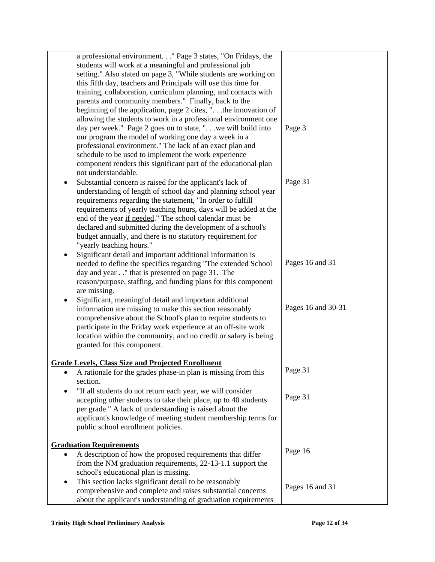| a professional environment. " Page 3 states, "On Fridays, the<br>students will work at a meaningful and professional job<br>setting." Also stated on page 3, "While students are working on<br>this fifth day, teachers and Principals will use this time for                                                                                                                                                                                                                     |                    |
|-----------------------------------------------------------------------------------------------------------------------------------------------------------------------------------------------------------------------------------------------------------------------------------------------------------------------------------------------------------------------------------------------------------------------------------------------------------------------------------|--------------------|
| training, collaboration, curriculum planning, and contacts with<br>parents and community members." Finally, back to the<br>beginning of the application, page 2 cites, " the innovation of<br>allowing the students to work in a professional environment one                                                                                                                                                                                                                     |                    |
| day per week." Page 2 goes on to state, " we will build into<br>our program the model of working one day a week in a<br>professional environment." The lack of an exact plan and<br>schedule to be used to implement the work experience<br>component renders this significant part of the educational plan<br>not understandable.                                                                                                                                                | Page 3             |
| Substantial concern is raised for the applicant's lack of<br>understanding of length of school day and planning school year<br>requirements regarding the statement, "In order to fulfill<br>requirements of yearly teaching hours, days will be added at the<br>end of the year if needed." The school calendar must be<br>declared and submitted during the development of a school's<br>budget annually, and there is no statutory requirement for<br>"yearly teaching hours." | Page 31            |
| Significant detail and important additional information is<br>needed to define the specifics regarding "The extended School<br>day and year" that is presented on page 31. The<br>reason/purpose, staffing, and funding plans for this component<br>are missing.                                                                                                                                                                                                                  | Pages 16 and 31    |
| Significant, meaningful detail and important additional<br>٠<br>information are missing to make this section reasonably<br>comprehensive about the School's plan to require students to<br>participate in the Friday work experience at an off-site work<br>location within the community, and no credit or salary is being<br>granted for this component.                                                                                                                        | Pages 16 and 30-31 |
| <b>Grade Levels, Class Size and Projected Enrollment</b><br>A rationale for the grades phase-in plan is missing from this<br>٠<br>section.                                                                                                                                                                                                                                                                                                                                        | Page 31            |
| "If all students do not return each year, we will consider<br>accepting other students to take their place, up to 40 students<br>per grade." A lack of understanding is raised about the<br>applicant's knowledge of meeting student membership terms for<br>public school enrollment policies.                                                                                                                                                                                   | Page 31            |
| <b>Graduation Requirements</b><br>A description of how the proposed requirements that differ<br>$\bullet$<br>from the NM graduation requirements, 22-13-1.1 support the<br>school's educational plan is missing.                                                                                                                                                                                                                                                                  | Page 16            |
| This section lacks significant detail to be reasonably<br>٠<br>comprehensive and complete and raises substantial concerns<br>about the applicant's understanding of graduation requirements                                                                                                                                                                                                                                                                                       | Pages 16 and 31    |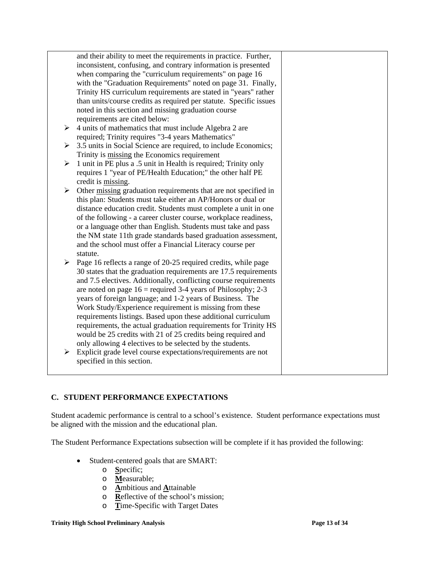|   | and their ability to meet the requirements in practice. Further,   |
|---|--------------------------------------------------------------------|
|   | inconsistent, confusing, and contrary information is presented     |
|   | when comparing the "curriculum requirements" on page 16            |
|   | with the "Graduation Requirements" noted on page 31. Finally,      |
|   | Trinity HS curriculum requirements are stated in "years" rather    |
|   | than units/course credits as required per statute. Specific issues |
|   | noted in this section and missing graduation course                |
|   | requirements are cited below:                                      |
| ➤ | 4 units of mathematics that must include Algebra 2 are             |
|   | required; Trinity requires "3-4 years Mathematics"                 |
| ➤ | 3.5 units in Social Science are required, to include Economics;    |
|   | Trinity is missing the Economics requirement                       |
| ➤ | 1 unit in PE plus a .5 unit in Health is required; Trinity only    |
|   | requires 1 "year of PE/Health Education;" the other half PE        |
|   | credit is missing.                                                 |
| ➤ | Other missing graduation requirements that are not specified in    |
|   | this plan: Students must take either an AP/Honors or dual or       |
|   | distance education credit. Students must complete a unit in one    |
|   | of the following - a career cluster course, workplace readiness,   |
|   | or a language other than English. Students must take and pass      |
|   | the NM state 11th grade standards based graduation assessment,     |
|   | and the school must offer a Financial Literacy course per          |
|   | statute.                                                           |
| ≻ |                                                                    |
|   | Page 16 reflects a range of 20-25 required credits, while page     |
|   | 30 states that the graduation requirements are 17.5 requirements   |
|   | and 7.5 electives. Additionally, conflicting course requirements   |
|   | are noted on page $16$ = required 3-4 years of Philosophy; 2-3     |
|   | years of foreign language; and 1-2 years of Business. The          |
|   | Work Study/Experience requirement is missing from these            |
|   | requirements listings. Based upon these additional curriculum      |
|   | requirements, the actual graduation requirements for Trinity HS    |
|   | would be 25 credits with 21 of 25 credits being required and       |
|   | only allowing 4 electives to be selected by the students.          |
| ➤ | Explicit grade level course expectations/requirements are not      |
|   | specified in this section.                                         |
|   |                                                                    |

# **C. STUDENT PERFORMANCE EXPECTATIONS**

Student academic performance is central to a school's existence. Student performance expectations must be aligned with the mission and the educational plan.

The Student Performance Expectations subsection will be complete if it has provided the following:

- Student-centered goals that are SMART:
	- o **S**pecific;
	- o **M**easurable;
	- o **A**mbitious and **A**ttainable
	- o **R**eflective of the school's mission;
	- o **T**ime-Specific with Target Dates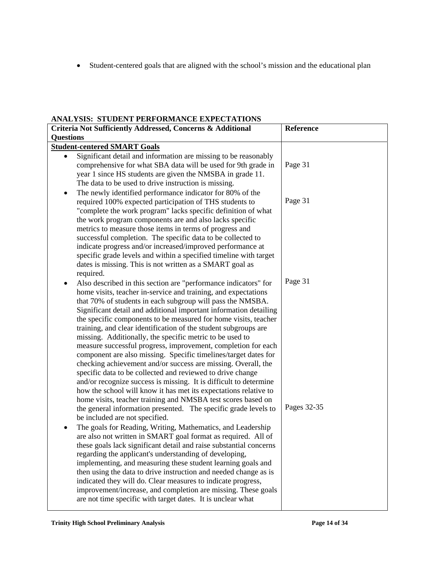• Student-centered goals that are aligned with the school's mission and the educational plan

### **ANALYSIS: STUDENT PERFORMANCE EXPECTATIONS**

| ANALISIS. STOLENT LEAPOAMANCE EXPECTATIONS<br>Criteria Not Sufficiently Addressed, Concerns & Additional |                                                                                                                                      | Reference   |
|----------------------------------------------------------------------------------------------------------|--------------------------------------------------------------------------------------------------------------------------------------|-------------|
| <b>Questions</b>                                                                                         |                                                                                                                                      |             |
|                                                                                                          | <b>Student-centered SMART Goals</b>                                                                                                  |             |
| $\bullet$                                                                                                | Significant detail and information are missing to be reasonably                                                                      |             |
|                                                                                                          | comprehensive for what SBA data will be used for 9th grade in                                                                        | Page 31     |
|                                                                                                          | year 1 since HS students are given the NMSBA in grade 11.                                                                            |             |
|                                                                                                          | The data to be used to drive instruction is missing.                                                                                 |             |
| ٠                                                                                                        | The newly identified performance indicator for 80% of the                                                                            |             |
|                                                                                                          | required 100% expected participation of THS students to                                                                              | Page 31     |
|                                                                                                          | "complete the work program" lacks specific definition of what                                                                        |             |
|                                                                                                          | the work program components are and also lacks specific                                                                              |             |
|                                                                                                          | metrics to measure those items in terms of progress and                                                                              |             |
|                                                                                                          | successful completion. The specific data to be collected to                                                                          |             |
|                                                                                                          | indicate progress and/or increased/improved performance at                                                                           |             |
|                                                                                                          | specific grade levels and within a specified timeline with target                                                                    |             |
|                                                                                                          | dates is missing. This is not written as a SMART goal as                                                                             |             |
|                                                                                                          | required.                                                                                                                            | Page 31     |
| ٠                                                                                                        | Also described in this section are "performance indicators" for                                                                      |             |
|                                                                                                          | home visits, teacher in-service and training, and expectations                                                                       |             |
|                                                                                                          | that 70% of students in each subgroup will pass the NMSBA.                                                                           |             |
|                                                                                                          | Significant detail and additional important information detailing<br>the specific components to be measured for home visits, teacher |             |
|                                                                                                          | training, and clear identification of the student subgroups are                                                                      |             |
|                                                                                                          | missing. Additionally, the specific metric to be used to                                                                             |             |
|                                                                                                          | measure successful progress, improvement, completion for each                                                                        |             |
|                                                                                                          | component are also missing. Specific timelines/target dates for                                                                      |             |
|                                                                                                          | checking achievement and/or success are missing. Overall, the                                                                        |             |
|                                                                                                          | specific data to be collected and reviewed to drive change                                                                           |             |
|                                                                                                          | and/or recognize success is missing. It is difficult to determine                                                                    |             |
|                                                                                                          | how the school will know it has met its expectations relative to                                                                     |             |
|                                                                                                          | home visits, teacher training and NMSBA test scores based on                                                                         |             |
|                                                                                                          | the general information presented. The specific grade levels to                                                                      | Pages 32-35 |
|                                                                                                          | be included are not specified.                                                                                                       |             |
|                                                                                                          | The goals for Reading, Writing, Mathematics, and Leadership                                                                          |             |
|                                                                                                          | are also not written in SMART goal format as required. All of                                                                        |             |
|                                                                                                          | these goals lack significant detail and raise substantial concerns                                                                   |             |
|                                                                                                          | regarding the applicant's understanding of developing,                                                                               |             |
|                                                                                                          | implementing, and measuring these student learning goals and                                                                         |             |
|                                                                                                          | then using the data to drive instruction and needed change as is                                                                     |             |
|                                                                                                          | indicated they will do. Clear measures to indicate progress,                                                                         |             |
|                                                                                                          | improvement/increase, and completion are missing. These goals                                                                        |             |
|                                                                                                          | are not time specific with target dates. It is unclear what                                                                          |             |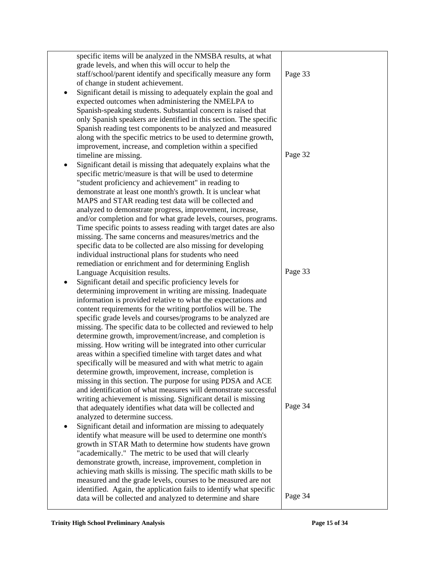| specific items will be analyzed in the NMSBA results, at what                                                              |         |
|----------------------------------------------------------------------------------------------------------------------------|---------|
| grade levels, and when this will occur to help the                                                                         |         |
| staff/school/parent identify and specifically measure any form                                                             | Page 33 |
| of change in student achievement.                                                                                          |         |
| Significant detail is missing to adequately explain the goal and<br>٠                                                      |         |
| expected outcomes when administering the NMELPA to                                                                         |         |
| Spanish-speaking students. Substantial concern is raised that                                                              |         |
| only Spanish speakers are identified in this section. The specific                                                         |         |
| Spanish reading test components to be analyzed and measured                                                                |         |
| along with the specific metrics to be used to determine growth,                                                            |         |
| improvement, increase, and completion within a specified                                                                   |         |
| timeline are missing.                                                                                                      | Page 32 |
| Significant detail is missing that adequately explains what the                                                            |         |
| specific metric/measure is that will be used to determine                                                                  |         |
| "student proficiency and achievement" in reading to                                                                        |         |
| demonstrate at least one month's growth. It is unclear what                                                                |         |
| MAPS and STAR reading test data will be collected and                                                                      |         |
| analyzed to demonstrate progress, improvement, increase,                                                                   |         |
| and/or completion and for what grade levels, courses, programs.                                                            |         |
| Time specific points to assess reading with target dates are also                                                          |         |
| missing. The same concerns and measures/metrics and the                                                                    |         |
| specific data to be collected are also missing for developing                                                              |         |
| individual instructional plans for students who need                                                                       |         |
| remediation or enrichment and for determining English                                                                      |         |
| Language Acquisition results.                                                                                              | Page 33 |
| Significant detail and specific proficiency levels for<br>٠                                                                |         |
| determining improvement in writing are missing. Inadequate                                                                 |         |
| information is provided relative to what the expectations and                                                              |         |
| content requirements for the writing portfolios will be. The                                                               |         |
| specific grade levels and courses/programs to be analyzed are                                                              |         |
| missing. The specific data to be collected and reviewed to help                                                            |         |
| determine growth, improvement/increase, and completion is<br>missing. How writing will be integrated into other curricular |         |
| areas within a specified timeline with target dates and what                                                               |         |
| specifically will be measured and with what metric to again                                                                |         |
| determine growth, improvement, increase, completion is                                                                     |         |
| missing in this section. The purpose for using PDSA and ACE                                                                |         |
| and identification of what measures will demonstrate successful                                                            |         |
| writing achievement is missing. Significant detail is missing                                                              |         |
| that adequately identifies what data will be collected and                                                                 | Page 34 |
| analyzed to determine success.                                                                                             |         |
| Significant detail and information are missing to adequately<br>$\bullet$                                                  |         |
| identify what measure will be used to determine one month's                                                                |         |
| growth in STAR Math to determine how students have grown                                                                   |         |
| "academically." The metric to be used that will clearly                                                                    |         |
| demonstrate growth, increase, improvement, completion in                                                                   |         |
| achieving math skills is missing. The specific math skills to be                                                           |         |
| measured and the grade levels, courses to be measured are not                                                              |         |
| identified. Again, the application fails to identify what specific                                                         |         |
| data will be collected and analyzed to determine and share                                                                 | Page 34 |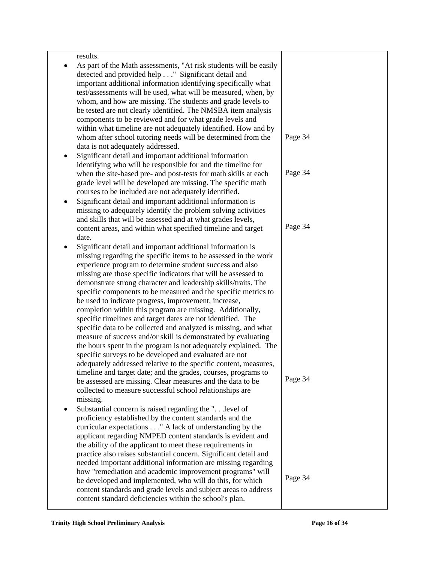| results.                                                          |         |
|-------------------------------------------------------------------|---------|
| As part of the Math assessments, "At risk students will be easily |         |
| detected and provided help " Significant detail and               |         |
| important additional information identifying specifically what    |         |
| test/assessments will be used, what will be measured, when, by    |         |
| whom, and how are missing. The students and grade levels to       |         |
| be tested are not clearly identified. The NMSBA item analysis     |         |
| components to be reviewed and for what grade levels and           |         |
| within what timeline are not adequately identified. How and by    |         |
| whom after school tutoring needs will be determined from the      | Page 34 |
| data is not adequately addressed.                                 |         |
| Significant detail and important additional information<br>٠      |         |
| identifying who will be responsible for and the timeline for      |         |
| when the site-based pre- and post-tests for math skills at each   | Page 34 |
| grade level will be developed are missing. The specific math      |         |
| courses to be included are not adequately identified.             |         |
| Significant detail and important additional information is        |         |
| missing to adequately identify the problem solving activities     |         |
| and skills that will be assessed and at what grades levels,       |         |
| content areas, and within what specified timeline and target      | Page 34 |
| date.                                                             |         |
| Significant detail and important additional information is        |         |
| missing regarding the specific items to be assessed in the work   |         |
| experience program to determine student success and also          |         |
| missing are those specific indicators that will be assessed to    |         |
| demonstrate strong character and leadership skills/traits. The    |         |
| specific components to be measured and the specific metrics to    |         |
| be used to indicate progress, improvement, increase,              |         |
| completion within this program are missing. Additionally,         |         |
| specific timelines and target dates are not identified. The       |         |
| specific data to be collected and analyzed is missing, and what   |         |
| measure of success and/or skill is demonstrated by evaluating     |         |
| the hours spent in the program is not adequately explained. The   |         |
| specific surveys to be developed and evaluated are not            |         |
| adequately addressed relative to the specific content, measures,  |         |
| timeline and target date; and the grades, courses, programs to    |         |
| be assessed are missing. Clear measures and the data to be        | Page 34 |
| collected to measure successful school relationships are          |         |
| missing.                                                          |         |
| Substantial concern is raised regarding the " level of            |         |
| proficiency established by the content standards and the          |         |
| curricular expectations " A lack of understanding by the          |         |
| applicant regarding NMPED content standards is evident and        |         |
| the ability of the applicant to meet these requirements in        |         |
| practice also raises substantial concern. Significant detail and  |         |
| needed important additional information are missing regarding     |         |
| how "remediation and academic improvement programs" will          | Page 34 |
| be developed and implemented, who will do this, for which         |         |
| content standards and grade levels and subject areas to address   |         |
| content standard deficiencies within the school's plan.           |         |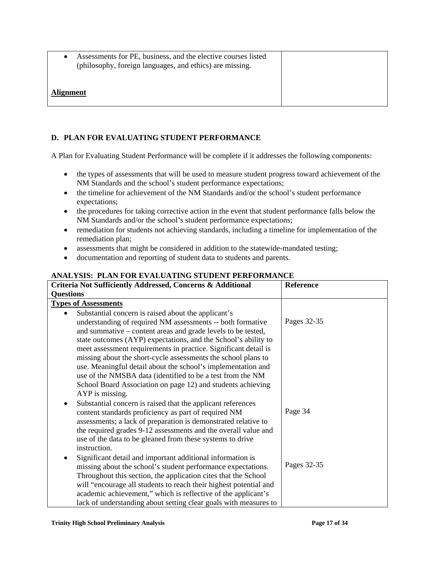• Assessments for PE, business, and the elective courses listed (philosophy, foreign languages, and ethics) are missing. **Alignment**

# **D. PLAN FOR EVALUATING STUDENT PERFORMANCE**

A Plan for Evaluating Student Performance will be complete if it addresses the following components:

- the types of assessments that will be used to measure student progress toward achievement of the NM Standards and the school's student performance expectations;
- the timeline for achievement of the NM Standards and/or the school's student performance expectations;
- the procedures for taking corrective action in the event that student performance falls below the NM Standards and/or the school's student performance expectations;
- remediation for students not achieving standards, including a timeline for implementation of the remediation plan;
- assessments that might be considered in addition to the statewide-mandated testing;
- documentation and reporting of student data to students and parents.

| Criteria Not Sufficiently Addressed, Concerns & Additional        | Reference   |
|-------------------------------------------------------------------|-------------|
| <b>Questions</b>                                                  |             |
| <b>Types of Assessments</b>                                       |             |
| Substantial concern is raised about the applicant's               |             |
| understanding of required NM assessments -- both formative        | Pages 32-35 |
| and summative – content areas and grade levels to be tested,      |             |
| state outcomes (AYP) expectations, and the School's ability to    |             |
| meet assessment requirements in practice. Significant detail is   |             |
| missing about the short-cycle assessments the school plans to     |             |
| use. Meaningful detail about the school's implementation and      |             |
| use of the NMSBA data (identified to be a test from the NM        |             |
| School Board Association on page 12) and students achieving       |             |
| AYP is missing.                                                   |             |
| Substantial concern is raised that the applicant references       |             |
| content standards proficiency as part of required NM              | Page 34     |
| assessments; a lack of preparation is demonstrated relative to    |             |
| the required grades 9-12 assessments and the overall value and    |             |
| use of the data to be gleaned from these systems to drive         |             |
| instruction.                                                      |             |
| Significant detail and important additional information is        | Pages 32-35 |
| missing about the school's student performance expectations.      |             |
| Throughout this section, the application cites that the School    |             |
| will "encourage all students to reach their highest potential and |             |
| academic achievement," which is reflective of the applicant's     |             |
| lack of understanding about setting clear goals with measures to  |             |

### **ANALYSIS: PLAN FOR EVALUATING STUDENT PERFORMANCE**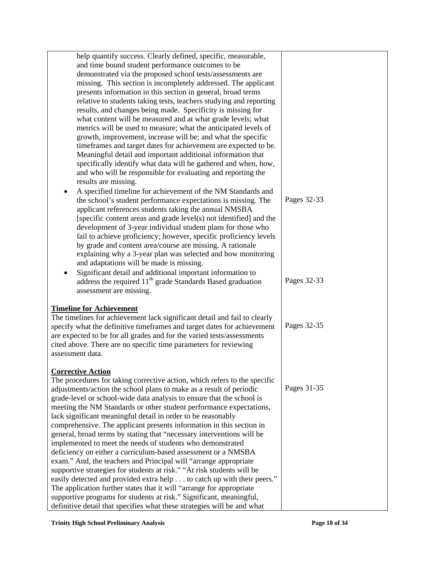| help quantify success. Clearly defined, specific, measurable,             |             |
|---------------------------------------------------------------------------|-------------|
| and time bound student performance outcomes to be                         |             |
| demonstrated via the proposed school tests/assessments are                |             |
| missing. This section is incompletely addressed. The applicant            |             |
| presents information in this section in general, broad terms              |             |
| relative to students taking tests, teachers studying and reporting        |             |
| results, and changes being made. Specificity is missing for               |             |
| what content will be measured and at what grade levels; what              |             |
| metrics will be used to measure; what the anticipated levels of           |             |
| growth, improvement, increase will be; and what the specific              |             |
| timeframes and target dates for achievement are expected to be.           |             |
| Meaningful detail and important additional information that               |             |
| specifically identify what data will be gathered and when, how,           |             |
| and who will be responsible for evaluating and reporting the              |             |
| results are missing.                                                      |             |
| A specified timeline for achievement of the NM Standards and<br>$\bullet$ |             |
| the school's student performance expectations is missing. The             | Pages 32-33 |
| applicant references students taking the annual NMSBA                     |             |
| [specific content areas and grade level(s) not identified] and the        |             |
| development of 3-year individual student plans for those who              |             |
| fail to achieve proficiency; however, specific proficiency levels         |             |
| by grade and content area/course are missing. A rationale                 |             |
| explaining why a 3-year plan was selected and how monitoring              |             |
| and adaptations will be made is missing.                                  |             |
| Significant detail and additional important information to                |             |
| address the required 11 <sup>th</sup> grade Standards Based graduation    | Pages 32-33 |
| assessment are missing.                                                   |             |
| <b>Timeline for Achievement</b>                                           |             |
| The timelines for achievement lack significant detail and fail to clearly |             |
| specify what the definitive timeframes and target dates for achievement   | Pages 32-35 |
| are expected to be for all grades and for the varied tests/assessments    |             |
| cited above. There are no specific time parameters for reviewing          |             |
| assessment data.                                                          |             |
|                                                                           |             |
| <b>Corrective Action</b>                                                  |             |
| The procedures for taking corrective action, which refers to the specific |             |
| adjustments/action the school plans to make as a result of periodic       | Pages 31-35 |
| grade-level or school-wide data analysis to ensure that the school is     |             |
| meeting the NM Standards or other student performance expectations,       |             |
| lack significant meaningful detail in order to be reasonably              |             |
| comprehensive. The applicant presents information in this section in      |             |
| general, broad terms by stating that "necessary interventions will be     |             |
| implemented to meet the needs of students who demonstrated                |             |
| deficiency on either a curriculum-based assessment or a NMSBA             |             |
| exam." And, the teachers and Principal will "arrange appropriate          |             |
| supportive strategies for students at risk." "At risk students will be    |             |
| easily detected and provided extra help to catch up with their peers."    |             |
| The application further states that it will "arrange for appropriate      |             |
| supportive programs for students at risk." Significant, meaningful,       |             |
| definitive detail that specifies what these strategies will be and what   |             |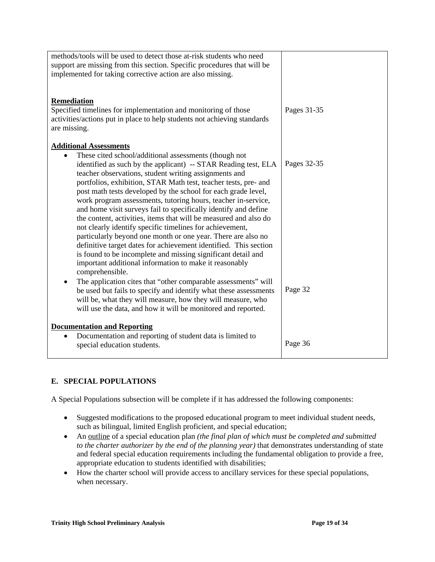| methods/tools will be used to detect those at-risk students who need<br>support are missing from this section. Specific procedures that will be<br>implemented for taking corrective action are also missing.                                                                                                                                                                                                                                                                                                                                                                                                                                                                                                                                                                                                                                                                                                           |             |
|-------------------------------------------------------------------------------------------------------------------------------------------------------------------------------------------------------------------------------------------------------------------------------------------------------------------------------------------------------------------------------------------------------------------------------------------------------------------------------------------------------------------------------------------------------------------------------------------------------------------------------------------------------------------------------------------------------------------------------------------------------------------------------------------------------------------------------------------------------------------------------------------------------------------------|-------------|
| Remediation<br>Specified timelines for implementation and monitoring of those<br>activities/actions put in place to help students not achieving standards<br>are missing.                                                                                                                                                                                                                                                                                                                                                                                                                                                                                                                                                                                                                                                                                                                                               | Pages 31-35 |
| <b>Additional Assessments</b><br>These cited school/additional assessments (though not<br>$\bullet$<br>identified as such by the applicant) -- STAR Reading test, ELA<br>teacher observations, student writing assignments and<br>portfolios, exhibition, STAR Math test, teacher tests, pre- and<br>post math tests developed by the school for each grade level,<br>work program assessments, tutoring hours, teacher in-service,<br>and home visit surveys fail to specifically identify and define<br>the content, activities, items that will be measured and also do<br>not clearly identify specific timelines for achievement,<br>particularly beyond one month or one year. There are also no<br>definitive target dates for achievement identified. This section<br>is found to be incomplete and missing significant detail and<br>important additional information to make it reasonably<br>comprehensible. | Pages 32-35 |
| The application cites that "other comparable assessments" will<br>be used but fails to specify and identify what these assessments<br>will be, what they will measure, how they will measure, who<br>will use the data, and how it will be monitored and reported.                                                                                                                                                                                                                                                                                                                                                                                                                                                                                                                                                                                                                                                      | Page 32     |
| <b>Documentation and Reporting</b><br>Documentation and reporting of student data is limited to<br>$\bullet$<br>special education students.                                                                                                                                                                                                                                                                                                                                                                                                                                                                                                                                                                                                                                                                                                                                                                             | Page 36     |

# **E. SPECIAL POPULATIONS**

A Special Populations subsection will be complete if it has addressed the following components:

- Suggested modifications to the proposed educational program to meet individual student needs, such as bilingual, limited English proficient, and special education;
- An outline of a special education plan *(the final plan of which must be completed and submitted to the charter authorizer by the end of the planning year)* that demonstrates understanding of state and federal special education requirements including the fundamental obligation to provide a free, appropriate education to students identified with disabilities;
- How the charter school will provide access to ancillary services for these special populations, when necessary.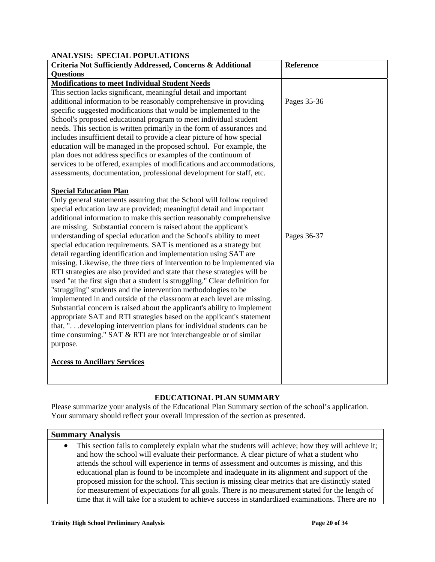| ANAL YSIS: SPECIAL POPULATIONS                                              |             |  |  |
|-----------------------------------------------------------------------------|-------------|--|--|
| Criteria Not Sufficiently Addressed, Concerns & Additional                  | Reference   |  |  |
| <b>Questions</b>                                                            |             |  |  |
| <b>Modifications to meet Individual Student Needs</b>                       |             |  |  |
| This section lacks significant, meaningful detail and important             |             |  |  |
| additional information to be reasonably comprehensive in providing          | Pages 35-36 |  |  |
| specific suggested modifications that would be implemented to the           |             |  |  |
| School's proposed educational program to meet individual student            |             |  |  |
| needs. This section is written primarily in the form of assurances and      |             |  |  |
| includes insufficient detail to provide a clear picture of how special      |             |  |  |
| education will be managed in the proposed school. For example, the          |             |  |  |
| plan does not address specifics or examples of the continuum of             |             |  |  |
| services to be offered, examples of modifications and accommodations,       |             |  |  |
| assessments, documentation, professional development for staff, etc.        |             |  |  |
|                                                                             |             |  |  |
| <b>Special Education Plan</b>                                               |             |  |  |
| Only general statements assuring that the School will follow required       |             |  |  |
| special education law are provided; meaningful detail and important         |             |  |  |
| additional information to make this section reasonably comprehensive        |             |  |  |
| are missing. Substantial concern is raised about the applicant's            |             |  |  |
| understanding of special education and the School's ability to meet         | Pages 36-37 |  |  |
| special education requirements. SAT is mentioned as a strategy but          |             |  |  |
| detail regarding identification and implementation using SAT are            |             |  |  |
| missing. Likewise, the three tiers of intervention to be implemented via    |             |  |  |
| RTI strategies are also provided and state that these strategies will be    |             |  |  |
| used "at the first sign that a student is struggling." Clear definition for |             |  |  |
| "struggling" students and the intervention methodologies to be              |             |  |  |
| implemented in and outside of the classroom at each level are missing.      |             |  |  |
| Substantial concern is raised about the applicant's ability to implement    |             |  |  |
| appropriate SAT and RTI strategies based on the applicant's statement       |             |  |  |
| that, "developing intervention plans for individual students can be         |             |  |  |
| time consuming." SAT & RTI are not interchangeable or of similar            |             |  |  |
| purpose.                                                                    |             |  |  |
|                                                                             |             |  |  |
| <b>Access to Ancillary Services</b>                                         |             |  |  |
|                                                                             |             |  |  |
|                                                                             |             |  |  |

# **EDUCATIONAL PLAN SUMMARY**

Please summarize your analysis of the Educational Plan Summary section of the school's application. Your summary should reflect your overall impression of the section as presented.

# **Summary Analysis**

• This section fails to completely explain what the students will achieve; how they will achieve it; and how the school will evaluate their performance. A clear picture of what a student who attends the school will experience in terms of assessment and outcomes is missing, and this educational plan is found to be incomplete and inadequate in its alignment and support of the proposed mission for the school. This section is missing clear metrics that are distinctly stated for measurement of expectations for all goals. There is no measurement stated for the length of time that it will take for a student to achieve success in standardized examinations. There are no

**ANALYSIS: SPECIAL POPULATIONS**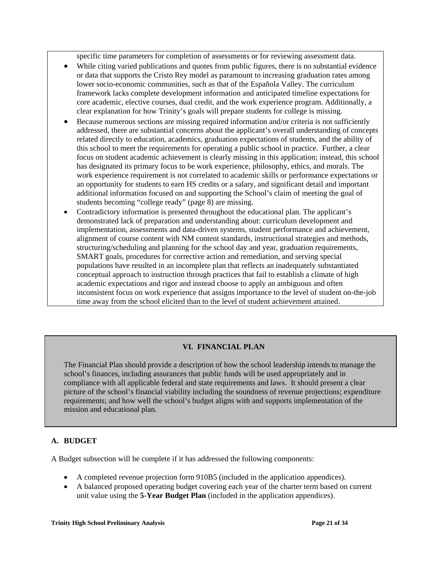specific time parameters for completion of assessments or for reviewing assessment data.

- While citing varied publications and quotes from public figures, there is no substantial evidence or data that supports the Cristo Rey model as paramount to increasing graduation rates among lower socio-economic communities, such as that of the Española Valley. The curriculum framework lacks complete development information and anticipated timeline expectations for core academic, elective courses, dual credit, and the work experience program. Additionally, a clear explanation for how Trinity's goals will prepare students for college is missing.
- Because numerous sections are missing required information and/or criteria is not sufficiently addressed, there are substantial concerns about the applicant's overall understanding of concepts related directly to education, academics, graduation expectations of students, and the ability of this school to meet the requirements for operating a public school in practice. Further, a clear focus on student academic achievement is clearly missing in this application; instead, this school has designated its primary focus to be work experience, philosophy, ethics, and morals. The work experience requirement is not correlated to academic skills or performance expectations or an opportunity for students to earn HS credits or a salary, and significant detail and important additional information focused on and supporting the School's claim of meeting the goal of students becoming "college ready" (page 8) are missing.
- Contradictory information is presented throughout the educational plan. The applicant's demonstrated lack of preparation and understanding about: curriculum development and implementation, assessments and data-driven systems, student performance and achievement, alignment of course content with NM content standards, instructional strategies and methods, structuring/scheduling and planning for the school day and year, graduation requirements, SMART goals, procedures for corrective action and remediation, and serving special populations have resulted in an incomplete plan that reflects an inadequately substantiated conceptual approach to instruction through practices that fail to establish a climate of high academic expectations and rigor and instead choose to apply an ambiguous and often inconsistent focus on work experience that assigns importance to the level of student on-the-job time away from the school elicited than to the level of student achievement attained.

# **VI. FINANCIAL PLAN**

The Financial Plan should provide a description of how the school leadership intends to manage the school's finances, including assurances that public funds will be used appropriately and in compliance with all applicable federal and state requirements and laws. It should present a clear picture of the school's financial viability including the soundness of revenue projections; expenditure requirements; and how well the school's budget aligns with and supports implementation of the mission and educational plan.

### **A. BUDGET**

İ

A Budget subsection will be complete if it has addressed the following components:

- A completed revenue projection form 910B5 (included in the application appendices).
- A balanced proposed operating budget covering each year of the charter term based on current unit value using the **5-Year Budget Plan** (included in the application appendices).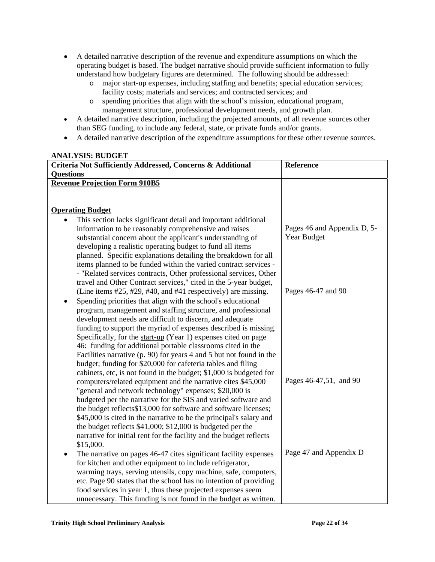- A detailed narrative description of the revenue and expenditure assumptions on which the operating budget is based. The budget narrative should provide sufficient information to fully understand how budgetary figures are determined. The following should be addressed:
	- o major start-up expenses, including staffing and benefits; special education services; facility costs; materials and services; and contracted services; and
	- o spending priorities that align with the school's mission, educational program, management structure, professional development needs, and growth plan.
- A detailed narrative description, including the projected amounts, of all revenue sources other than SEG funding, to include any federal, state, or private funds and/or grants.
- A detailed narrative description of the expenditure assumptions for these other revenue sources.

#### **ANALYSIS: BUDGET Criteria Not Sufficiently Addressed, Concerns & Additional Questions Reference Revenue Projection Form 910B5 Operating Budget** This section lacks significant detail and important additional information to be reasonably comprehensive and raises substantial concern about the applicant's understanding of developing a realistic operating budget to fund all items planned. Specific explanations detailing the breakdown for all items planned to be funded within the varied contract services - - "Related services contracts, Other professional services, Other travel and Other Contract services," cited in the 5-year budget, (Line items #25, #29, #40, and #41 respectively) are missing. • Spending priorities that align with the school's educational program, management and staffing structure, and professional development needs are difficult to discern, and adequate funding to support the myriad of expenses described is missing. Specifically, for the start-up (Year 1) expenses cited on page 46: funding for additional portable classrooms cited in the Facilities narrative (p. 90) for years 4 and 5 but not found in the budget; funding for \$20,000 for cafeteria tables and filing cabinets, etc, is not found in the budget; \$1,000 is budgeted for computers/related equipment and the narrative cites \$45,000 "general and network technology" expenses; \$20,000 is budgeted per the narrative for the SIS and varied software and the budget reflects\$13,000 for software and software licenses; \$45,000 is cited in the narrative to be the principal's salary and the budget reflects \$41,000; \$12,000 is budgeted per the narrative for initial rent for the facility and the budget reflects \$15,000. The narrative on pages 46-47 cites significant facility expenses for kitchen and other equipment to include refrigerator, warming trays, serving utensils, copy machine, safe, computers, etc. Page 90 states that the school has no intention of providing food services in year 1, thus these projected expenses seem unnecessary. This funding is not found in the budget as written. Pages 46 and Appendix D, 5- Year Budget Pages 46-47 and 90 Pages 46-47,51, and 90 Page 47 and Appendix D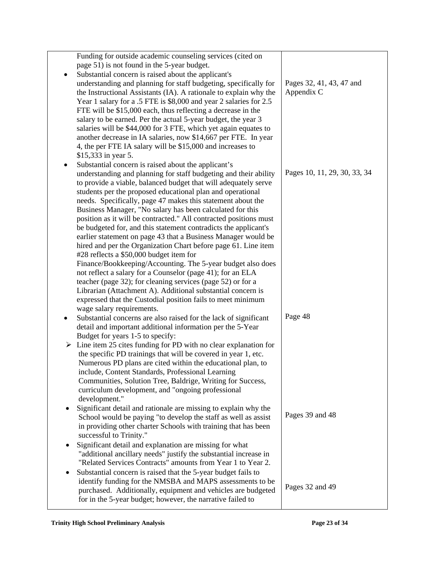|   | Funding for outside academic counseling services (cited on                       |                              |
|---|----------------------------------------------------------------------------------|------------------------------|
|   | page 51) is not found in the 5-year budget.                                      |                              |
|   | Substantial concern is raised about the applicant's                              |                              |
|   | understanding and planning for staff budgeting, specifically for                 | Pages 32, 41, 43, 47 and     |
|   | the Instructional Assistants (IA). A rationale to explain why the                | Appendix C                   |
|   | Year 1 salary for a .5 FTE is \$8,000 and year 2 salaries for 2.5                |                              |
|   | FTE will be \$15,000 each, thus reflecting a decrease in the                     |                              |
|   | salary to be earned. Per the actual 5-year budget, the year 3                    |                              |
|   | salaries will be \$44,000 for 3 FTE, which yet again equates to                  |                              |
|   | another decrease in IA salaries, now \$14,667 per FTE. In year                   |                              |
|   | 4, the per FTE IA salary will be \$15,000 and increases to                       |                              |
|   | \$15,333 in year 5.                                                              |                              |
|   | Substantial concern is raised about the applicant's                              |                              |
|   | understanding and planning for staff budgeting and their ability                 | Pages 10, 11, 29, 30, 33, 34 |
|   | to provide a viable, balanced budget that will adequately serve                  |                              |
|   | students per the proposed educational plan and operational                       |                              |
|   | needs. Specifically, page 47 makes this statement about the                      |                              |
|   | Business Manager, "No salary has been calculated for this                        |                              |
|   | position as it will be contracted." All contracted positions must                |                              |
|   | be budgeted for, and this statement contradicts the applicant's                  |                              |
|   | earlier statement on page 43 that a Business Manager would be                    |                              |
|   | hired and per the Organization Chart before page 61. Line item                   |                              |
|   | #28 reflects a \$50,000 budget item for                                          |                              |
|   | Finance/Bookkeeping/Accounting. The 5-year budget also does                      |                              |
|   | not reflect a salary for a Counselor (page 41); for an ELA                       |                              |
|   | teacher (page 32); for cleaning services (page 52) or for a                      |                              |
|   | Librarian (Attachment A). Additional substantial concern is                      |                              |
|   | expressed that the Custodial position fails to meet minimum                      |                              |
|   | wage salary requirements.                                                        |                              |
|   | Substantial concerns are also raised for the lack of significant                 | Page 48                      |
|   | detail and important additional information per the 5-Year                       |                              |
|   | Budget for years 1-5 to specify:                                                 |                              |
|   | $\triangleright$ Line item 25 cites funding for PD with no clear explanation for |                              |
|   | the specific PD trainings that will be covered in year 1, etc.                   |                              |
|   | Numerous PD plans are cited within the educational plan, to                      |                              |
|   | include, Content Standards, Professional Learning                                |                              |
|   | Communities, Solution Tree, Baldrige, Writing for Success,                       |                              |
|   | curriculum development, and "ongoing professional                                |                              |
|   | development."                                                                    |                              |
| ٠ | Significant detail and rationale are missing to explain why the                  |                              |
|   | School would be paying "to develop the staff as well as assist                   | Pages 39 and 48              |
|   | in providing other charter Schools with training that has been                   |                              |
|   | successful to Trinity."                                                          |                              |
| ٠ | Significant detail and explanation are missing for what                          |                              |
|   | "additional ancillary needs" justify the substantial increase in                 |                              |
|   | "Related Services Contracts" amounts from Year 1 to Year 2.                      |                              |
| ٠ | Substantial concern is raised that the 5-year budget fails to                    |                              |
|   | identify funding for the NMSBA and MAPS assessments to be                        |                              |
|   | purchased. Additionally, equipment and vehicles are budgeted                     | Pages 32 and 49              |
|   | for in the 5-year budget; however, the narrative failed to                       |                              |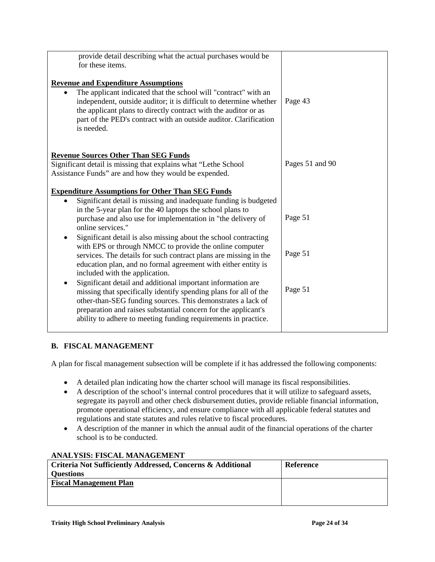| provide detail describing what the actual purchases would be<br>for these items.                                                                                                                                                                                                            |                 |
|---------------------------------------------------------------------------------------------------------------------------------------------------------------------------------------------------------------------------------------------------------------------------------------------|-----------------|
| <b>Revenue and Expenditure Assumptions</b>                                                                                                                                                                                                                                                  |                 |
| The applicant indicated that the school will "contract" with an<br>independent, outside auditor; it is difficult to determine whether<br>the applicant plans to directly contract with the auditor or as<br>part of the PED's contract with an outside auditor. Clarification<br>is needed. | Page 43         |
| <b>Revenue Sources Other Than SEG Funds</b><br>Significant detail is missing that explains what "Lethe School"                                                                                                                                                                              | Pages 51 and 90 |
| Assistance Funds" are and how they would be expended.                                                                                                                                                                                                                                       |                 |
| <b>Expenditure Assumptions for Other Than SEG Funds</b>                                                                                                                                                                                                                                     |                 |
| Significant detail is missing and inadequate funding is budgeted                                                                                                                                                                                                                            |                 |
| in the 5-year plan for the 40 laptops the school plans to<br>purchase and also use for implementation in "the delivery of<br>online services."                                                                                                                                              | Page 51         |
| Significant detail is also missing about the school contracting                                                                                                                                                                                                                             |                 |
| with EPS or through NMCC to provide the online computer<br>services. The details for such contract plans are missing in the<br>education plan, and no formal agreement with either entity is<br>included with the application.                                                              | Page 51         |
| Significant detail and additional important information are<br>missing that specifically identify spending plans for all of the<br>other-than-SEG funding sources. This demonstrates a lack of<br>preparation and raises substantial concern for the applicant's                            | Page 51         |
| ability to adhere to meeting funding requirements in practice.                                                                                                                                                                                                                              |                 |

# **B. FISCAL MANAGEMENT**

A plan for fiscal management subsection will be complete if it has addressed the following components:

- A detailed plan indicating how the charter school will manage its fiscal responsibilities.
- A description of the school's internal control procedures that it will utilize to safeguard assets, segregate its payroll and other check disbursement duties, provide reliable financial information, promote operational efficiency, and ensure compliance with all applicable federal statutes and regulations and state statutes and rules relative to fiscal procedures.
- A description of the manner in which the annual audit of the financial operations of the charter school is to be conducted.

| Criteria Not Sufficiently Addressed, Concerns & Additional | Reference |
|------------------------------------------------------------|-----------|
| <b>Ouestions</b>                                           |           |
| <b>Fiscal Management Plan</b>                              |           |
|                                                            |           |
|                                                            |           |

# **ANALYSIS: FISCAL MANAGEMENT**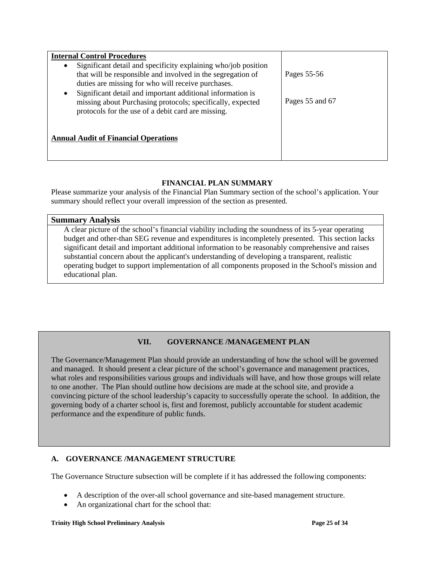| <b>Internal Control Procedures</b>                                                                                                                                                                                                                                                                                                                                         |                                |
|----------------------------------------------------------------------------------------------------------------------------------------------------------------------------------------------------------------------------------------------------------------------------------------------------------------------------------------------------------------------------|--------------------------------|
| Significant detail and specificity explaining who/job position<br>that will be responsible and involved in the segregation of<br>duties are missing for who will receive purchases.<br>Significant detail and important additional information is<br>٠<br>missing about Purchasing protocols; specifically, expected<br>protocols for the use of a debit card are missing. | Pages 55-56<br>Pages 55 and 67 |
| <b>Annual Audit of Financial Operations</b>                                                                                                                                                                                                                                                                                                                                |                                |

# **FINANCIAL PLAN SUMMARY**

Please summarize your analysis of the Financial Plan Summary section of the school's application. Your summary should reflect your overall impression of the section as presented.

| <b>Summary Analysis</b>                                                                             |
|-----------------------------------------------------------------------------------------------------|
| A clear picture of the school's financial viability including the soundness of its 5-year operating |
| budget and other-than SEG revenue and expenditures is incompletely presented. This section lacks    |
| significant detail and important additional information to be reasonably comprehensive and raises   |
| substantial concern about the applicant's understanding of developing a transparent, realistic      |
| operating budget to support implementation of all components proposed in the School's mission and   |
| educational plan.                                                                                   |

# **VII. GOVERNANCE /MANAGEMENT PLAN**

The Governance/Management Plan should provide an understanding of how the school will be governed and managed. It should present a clear picture of the school's governance and management practices, what roles and responsibilities various groups and individuals will have, and how those groups will relate to one another. The Plan should outline how decisions are made at the school site, and provide a convincing picture of the school leadership's capacity to successfully operate the school. In addition, the governing body of a charter school is, first and foremost, publicly accountable for student academic performance and the expenditure of public funds.

# **A. GOVERNANCE /MANAGEMENT STRUCTURE**

The Governance Structure subsection will be complete if it has addressed the following components:

- A description of the over-all school governance and site-based management structure.
- An organizational chart for the school that: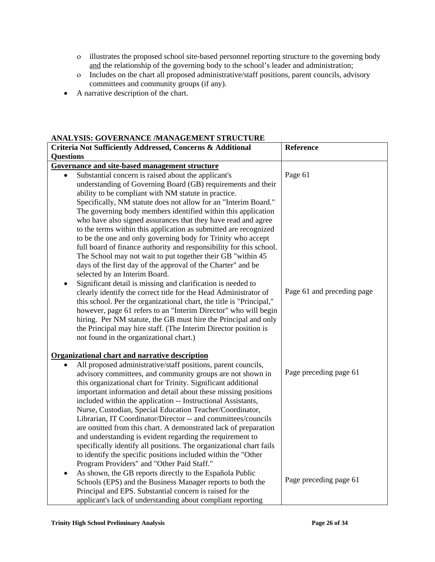- ο illustrates the proposed school site-based personnel reporting structure to the governing body and the relationship of the governing body to the school's leader and administration;
- ο Includes on the chart all proposed administrative/staff positions, parent councils, advisory committees and community groups (if any).
- A narrative description of the chart.

# **ANALYSIS: GOVERNANCE /MANAGEMENT STRUCTURE**

| ARALISIS. OO VERRARGE MARAGEMERI SIROOI ORE                                |                            |
|----------------------------------------------------------------------------|----------------------------|
| Criteria Not Sufficiently Addressed, Concerns & Additional                 | Reference                  |
| <b>Questions</b>                                                           |                            |
| Governance and site-based management structure                             |                            |
| Substantial concern is raised about the applicant's                        | Page 61                    |
| understanding of Governing Board (GB) requirements and their               |                            |
| ability to be compliant with NM statute in practice.                       |                            |
| Specifically, NM statute does not allow for an "Interim Board."            |                            |
| The governing body members identified within this application              |                            |
| who have also signed assurances that they have read and agree              |                            |
| to the terms within this application as submitted are recognized           |                            |
| to be the one and only governing body for Trinity who accept               |                            |
| full board of finance authority and responsibility for this school.        |                            |
| The School may not wait to put together their GB "within 45                |                            |
| days of the first day of the approval of the Charter" and be               |                            |
| selected by an Interim Board.                                              |                            |
| Significant detail is missing and clarification is needed to               |                            |
| clearly identify the correct title for the Head Administrator of           | Page 61 and preceding page |
| this school. Per the organizational chart, the title is "Principal,"       |                            |
| however, page 61 refers to an "Interim Director" who will begin            |                            |
| hiring. Per NM statute, the GB must hire the Principal and only            |                            |
| the Principal may hire staff. (The Interim Director position is            |                            |
| not found in the organizational chart.)                                    |                            |
|                                                                            |                            |
| <b>Organizational chart and narrative description</b>                      |                            |
| All proposed administrative/staff positions, parent councils,<br>$\bullet$ |                            |
| advisory committees, and community groups are not shown in                 | Page preceding page 61     |
| this organizational chart for Trinity. Significant additional              |                            |
| important information and detail about these missing positions             |                            |
| included within the application -- Instructional Assistants,               |                            |
| Nurse, Custodian, Special Education Teacher/Coordinator,                   |                            |
| Librarian, IT Coordinator/Director -- and committees/councils              |                            |
| are omitted from this chart. A demonstrated lack of preparation            |                            |
| and understanding is evident regarding the requirement to                  |                            |
| specifically identify all positions. The organizational chart fails        |                            |
| to identify the specific positions included within the "Other              |                            |
| Program Providers" and "Other Paid Staff."                                 |                            |
| As shown, the GB reports directly to the Española Public<br>$\bullet$      |                            |
| Schools (EPS) and the Business Manager reports to both the                 | Page preceding page 61     |
| Principal and EPS. Substantial concern is raised for the                   |                            |
| applicant's lack of understanding about compliant reporting                |                            |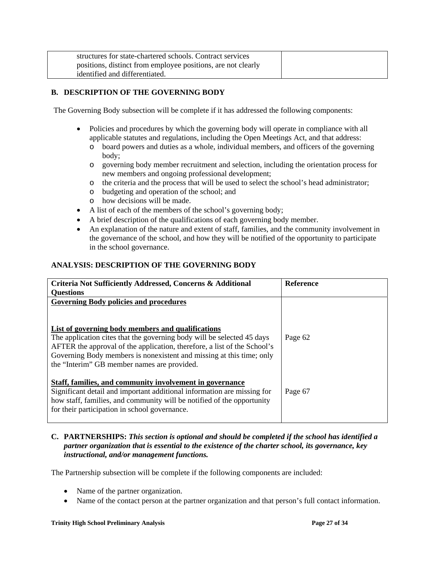| structures for state-chartered schools. Contract services    |  |
|--------------------------------------------------------------|--|
| positions, distinct from employee positions, are not clearly |  |
| identified and differentiated.                               |  |

# **B. DESCRIPTION OF THE GOVERNING BODY**

The Governing Body subsection will be complete if it has addressed the following components:

- Policies and procedures by which the governing body will operate in compliance with all applicable statutes and regulations, including the Open Meetings Act, and that address:
	- o board powers and duties as a whole, individual members, and officers of the governing body;
	- o governing body member recruitment and selection, including the orientation process for new members and ongoing professional development;
	- o the criteria and the process that will be used to select the school's head administrator;
	- o budgeting and operation of the school; and
	- o how decisions will be made.
- A list of each of the members of the school's governing body;
- A brief description of the qualifications of each governing body member.
- An explanation of the nature and extent of staff, families, and the community involvement in the governance of the school, and how they will be notified of the opportunity to participate in the school governance.

# **ANALYSIS: DESCRIPTION OF THE GOVERNING BODY**

| Criteria Not Sufficiently Addressed, Concerns & Additional<br><b>Ouestions</b>                                                                                                                                                                                                                                                 | <b>Reference</b> |
|--------------------------------------------------------------------------------------------------------------------------------------------------------------------------------------------------------------------------------------------------------------------------------------------------------------------------------|------------------|
| <b>Governing Body policies and procedures</b>                                                                                                                                                                                                                                                                                  |                  |
|                                                                                                                                                                                                                                                                                                                                |                  |
| List of governing body members and qualifications<br>The application cites that the governing body will be selected 45 days<br>AFTER the approval of the application, therefore, a list of the School's<br>Governing Body members is nonexistent and missing at this time; only<br>the "Interim" GB member names are provided. | Page 62          |
| Staff, families, and community involvement in governance<br>Significant detail and important additional information are missing for<br>how staff, families, and community will be notified of the opportunity<br>for their participation in school governance.                                                                 | Page 67          |

#### **C. PARTNERSHIPS:** *This section is optional and should be completed if the school has identified a partner organization that is essential to the existence of the charter school, its governance, key instructional, and/or management functions.*

The Partnership subsection will be complete if the following components are included:

- Name of the partner organization.
- Name of the contact person at the partner organization and that person's full contact information.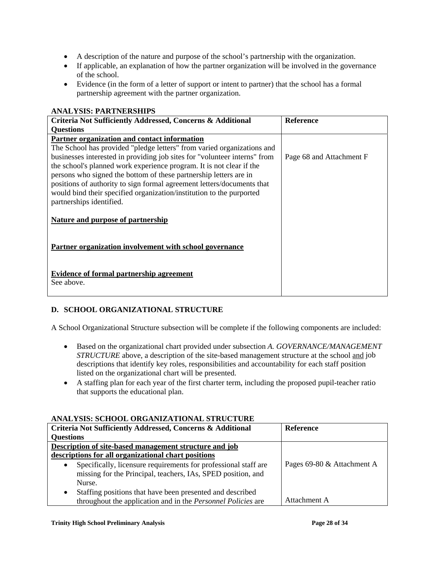- A description of the nature and purpose of the school's partnership with the organization.
- If applicable, an explanation of how the partner organization will be involved in the governance of the school.
- Evidence (in the form of a letter of support or intent to partner) that the school has a formal partnership agreement with the partner organization.

| Criteria Not Sufficiently Addressed, Concerns & Additional                | <b>Reference</b>         |
|---------------------------------------------------------------------------|--------------------------|
| <b>Ouestions</b>                                                          |                          |
| Partner organization and contact information                              |                          |
| The School has provided "pledge letters" from varied organizations and    |                          |
| businesses interested in providing job sites for "volunteer interns" from | Page 68 and Attachment F |
| the school's planned work experience program. It is not clear if the      |                          |
| persons who signed the bottom of these partnership letters are in         |                          |
| positions of authority to sign formal agreement letters/documents that    |                          |
| would bind their specified organization/institution to the purported      |                          |
| partnerships identified.                                                  |                          |
| <b>Nature and purpose of partnership</b>                                  |                          |
| Partner organization involvement with school governance                   |                          |
| <b>Evidence of formal partnership agreement</b><br>See above.             |                          |

### **ANALYSIS: PARTNERSHIPS**

# **D. SCHOOL ORGANIZATIONAL STRUCTURE**

A School Organizational Structure subsection will be complete if the following components are included:

- Based on the organizational chart provided under subsection *A. GOVERNANCE/MANAGEMENT STRUCTURE* above, a description of the site-based management structure at the school and job descriptions that identify key roles, responsibilities and accountability for each staff position listed on the organizational chart will be presented.
- A staffing plan for each year of the first charter term, including the proposed pupil-teacher ratio that supports the educational plan.

# **ANALYSIS: SCHOOL ORGANIZATIONAL STRUCTURE**

| mund roma ochrodd o'ngan ulari riol am o'r nechond                           |                            |
|------------------------------------------------------------------------------|----------------------------|
| <b>Criteria Not Sufficiently Addressed, Concerns &amp; Additional</b>        | <b>Reference</b>           |
| <b>Questions</b>                                                             |                            |
| Description of site-based management structure and job                       |                            |
| descriptions for all organizational chart positions                          |                            |
| Specifically, licensure requirements for professional staff are<br>$\bullet$ | Pages 69-80 & Attachment A |
| missing for the Principal, teachers, IAs, SPED position, and                 |                            |
| Nurse.                                                                       |                            |
| Staffing positions that have been presented and described<br>٠               |                            |
| throughout the application and in the <i>Personnel Policies</i> are          | Attachment A               |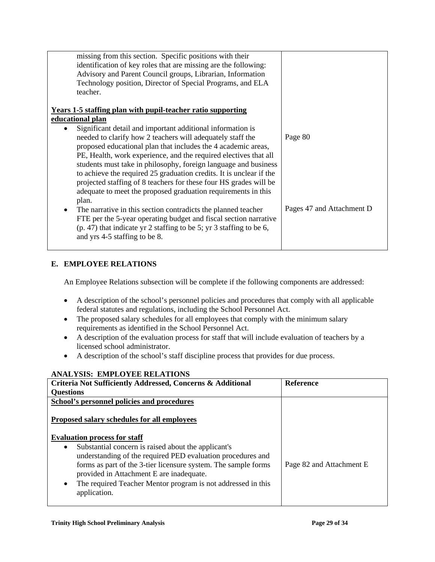| missing from this section. Specific positions with their              |                           |
|-----------------------------------------------------------------------|---------------------------|
| identification of key roles that are missing are the following:       |                           |
| Advisory and Parent Council groups, Librarian, Information            |                           |
| Technology position, Director of Special Programs, and ELA            |                           |
| teacher.                                                              |                           |
|                                                                       |                           |
| <b>Years 1-5 staffing plan with pupil-teacher ratio supporting</b>    |                           |
| educational plan                                                      |                           |
| Significant detail and important additional information is            |                           |
| needed to clarify how 2 teachers will adequately staff the            | Page 80                   |
| proposed educational plan that includes the 4 academic areas,         |                           |
| PE, Health, work experience, and the required electives that all      |                           |
| students must take in philosophy, foreign language and business       |                           |
| to achieve the required 25 graduation credits. It is unclear if the   |                           |
| projected staffing of 8 teachers for these four HS grades will be     |                           |
| adequate to meet the proposed graduation requirements in this         |                           |
| plan.                                                                 |                           |
| The narrative in this section contradicts the planned teacher<br>٠    | Pages 47 and Attachment D |
| FTE per the 5-year operating budget and fiscal section narrative      |                           |
|                                                                       |                           |
| $(p. 47)$ that indicate yr 2 staffing to be 5; yr 3 staffing to be 6, |                           |
| and yrs 4-5 staffing to be 8.                                         |                           |
|                                                                       |                           |

# **E. EMPLOYEE RELATIONS**

An Employee Relations subsection will be complete if the following components are addressed:

- A description of the school's personnel policies and procedures that comply with all applicable federal statutes and regulations, including the School Personnel Act.
- The proposed salary schedules for all employees that comply with the minimum salary requirements as identified in the School Personnel Act.
- A description of the evaluation process for staff that will include evaluation of teachers by a licensed school administrator.
- A description of the school's staff discipline process that provides for due process.

### **ANALYSIS: EMPLOYEE RELATIONS**

| Criteria Not Sufficiently Addressed, Concerns & Additional                                                 | <b>Reference</b>         |
|------------------------------------------------------------------------------------------------------------|--------------------------|
| <b>Questions</b>                                                                                           |                          |
| School's personnel policies and procedures                                                                 |                          |
| Proposed salary schedules for all employees<br><b>Evaluation process for staff</b>                         |                          |
| Substantial concern is raised about the applicant's<br>$\bullet$                                           |                          |
| understanding of the required PED evaluation procedures and                                                |                          |
| forms as part of the 3-tier licensure system. The sample forms<br>provided in Attachment E are inadequate. | Page 82 and Attachment E |
| The required Teacher Mentor program is not addressed in this<br>$\bullet$<br>application.                  |                          |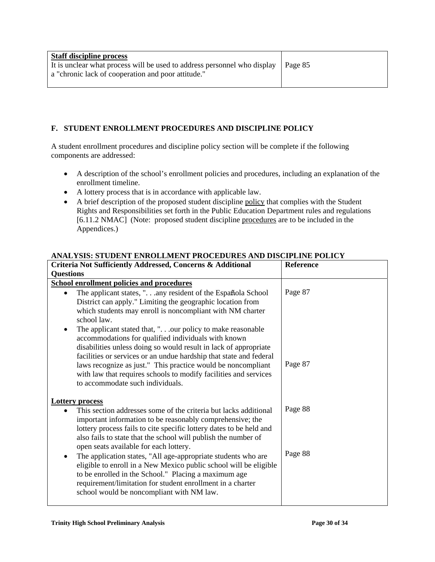| <b>Staff discipline process</b>                                                                                                          |  |
|------------------------------------------------------------------------------------------------------------------------------------------|--|
| It is unclear what process will be used to address personnel who display   Page 85<br>a "chronic lack of cooperation and poor attitude." |  |
|                                                                                                                                          |  |

# **F. STUDENT ENROLLMENT PROCEDURES AND DISCIPLINE POLICY**

A student enrollment procedures and discipline policy section will be complete if the following components are addressed:

- A description of the school's enrollment policies and procedures, including an explanation of the enrollment timeline.
- A lottery process that is in accordance with applicable law.
- A brief description of the proposed student discipline policy that complies with the Student Rights and Responsibilities set forth in the Public Education Department rules and regulations [6.11.2 NMAC] (Note: proposed student discipline procedures are to be included in the Appendices.)

### **ANALYSIS: STUDENT ENROLLMENT PROCEDURES AND DISCIPLINE POLICY**

| Criteria Not Sufficiently Addressed, Concerns & Additional                                                                                                                                                                                                                                                                                                                                                                                       | Reference |
|--------------------------------------------------------------------------------------------------------------------------------------------------------------------------------------------------------------------------------------------------------------------------------------------------------------------------------------------------------------------------------------------------------------------------------------------------|-----------|
| <b>Questions</b>                                                                                                                                                                                                                                                                                                                                                                                                                                 |           |
| <b>School enrollment policies and procedures</b>                                                                                                                                                                                                                                                                                                                                                                                                 |           |
| The applicant states, ". any resident of the Española School<br>$\bullet$<br>District can apply." Limiting the geographic location from<br>which students may enroll is noncompliant with NM charter<br>school law.                                                                                                                                                                                                                              | Page 87   |
| The applicant stated that, ".our policy to make reasonable<br>$\bullet$<br>accommodations for qualified individuals with known<br>disabilities unless doing so would result in lack of appropriate<br>facilities or services or an undue hardship that state and federal<br>laws recognize as just." This practice would be noncompliant<br>with law that requires schools to modify facilities and services<br>to accommodate such individuals. | Page 87   |
| <b>Lottery process</b>                                                                                                                                                                                                                                                                                                                                                                                                                           |           |
| This section addresses some of the criteria but lacks additional<br>$\bullet$<br>important information to be reasonably comprehensive; the<br>lottery process fails to cite specific lottery dates to be held and<br>also fails to state that the school will publish the number of<br>open seats available for each lottery.                                                                                                                    | Page 88   |
| The application states, "All age-appropriate students who are<br>٠<br>eligible to enroll in a New Mexico public school will be eligible<br>to be enrolled in the School." Placing a maximum age<br>requirement/limitation for student enrollment in a charter<br>school would be noncompliant with NM law.                                                                                                                                       | Page 88   |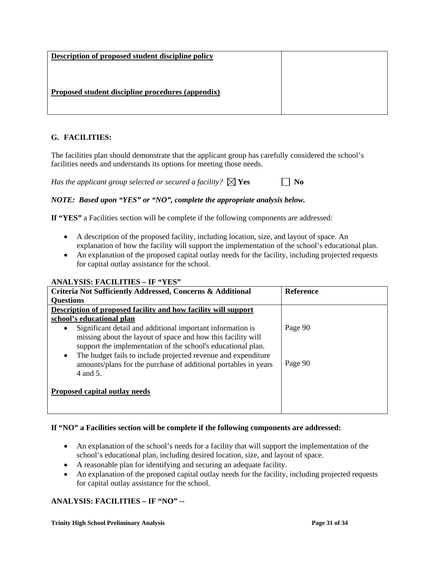| Description of proposed student discipline policy |  |
|---------------------------------------------------|--|
|                                                   |  |
| Proposed student discipline procedures (appendix) |  |
|                                                   |  |

# **G. FACILITIES:**

The facilities plan should demonstrate that the applicant group has carefully considered the school's facilities needs and understands its options for meeting those needs.

*Has the applicant group selected or secured a facility?*  $\boxtimes$  **Yes**  $\Box$  **No** 

*NOTE: Based upon "YES" or "NO", complete the appropriate analysis below.* 

**If "YES"** a Facilities section will be complete if the following components are addressed:

- A description of the proposed facility, including location, size, and layout of space. An explanation of how the facility will support the implementation of the school's educational plan.
- An explanation of the proposed capital outlay needs for the facility, including projected requests for capital outlay assistance for the school.

### **ANALYSIS: FACILITIES – IF "YES"**

| Criteria Not Sufficiently Addressed, Concerns & Additional                 | <b>Reference</b> |
|----------------------------------------------------------------------------|------------------|
| <b>Questions</b>                                                           |                  |
| Description of proposed facility and how facility will support             |                  |
| school's educational plan                                                  |                  |
| Significant detail and additional important information is<br>٠            | Page 90          |
| missing about the layout of space and how this facility will               |                  |
| support the implementation of the school's educational plan.               |                  |
| The budget fails to include projected revenue and expenditure<br>$\bullet$ |                  |
| amounts/plans for the purchase of additional portables in years            | Page 90          |
| 4 and 5.                                                                   |                  |
| Proposed capital outlay needs                                              |                  |
|                                                                            |                  |
|                                                                            |                  |

# **If "NO" a Facilities section will be complete if the following components are addressed:**

- An explanation of the school's needs for a facility that will support the implementation of the school's educational plan, including desired location, size, and layout of space.
- A reasonable plan for identifying and securing an adequate facility.
- An explanation of the proposed capital outlay needs for the facility, including projected requests for capital outlay assistance for the school.

# **ANALYSIS: FACILITIES – IF "NO" --**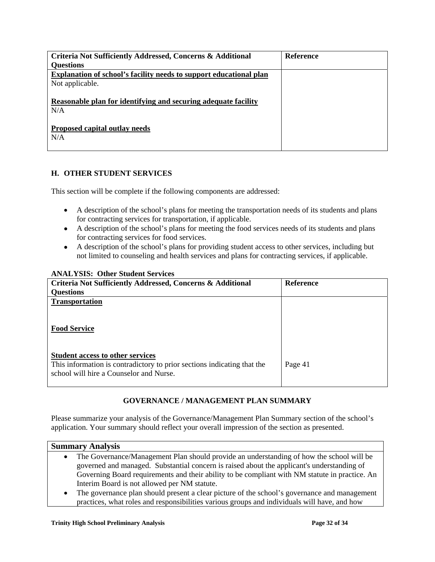| Criteria Not Sufficiently Addressed, Concerns & Additional            | <b>Reference</b> |
|-----------------------------------------------------------------------|------------------|
| <b>Ouestions</b>                                                      |                  |
| Explanation of school's facility needs to support educational plan    |                  |
| Not applicable.                                                       |                  |
| Reasonable plan for identifying and securing adequate facility<br>N/A |                  |
| Proposed capital outlay needs<br>N/A                                  |                  |

# **H. OTHER STUDENT SERVICES**

This section will be complete if the following components are addressed:

- A description of the school's plans for meeting the transportation needs of its students and plans for contracting services for transportation, if applicable.
- A description of the school's plans for meeting the food services needs of its students and plans for contracting services for food services.
- A description of the school's plans for providing student access to other services, including but not limited to counseling and health services and plans for contracting services, if applicable.

| Criteria Not Sufficiently Addressed, Concerns & Additional              | <b>Reference</b> |
|-------------------------------------------------------------------------|------------------|
| <b>Questions</b>                                                        |                  |
| <b>Transportation</b>                                                   |                  |
|                                                                         |                  |
|                                                                         |                  |
| <b>Food Service</b>                                                     |                  |
|                                                                         |                  |
|                                                                         |                  |
| <b>Student access to other services</b>                                 |                  |
| This information is contradictory to prior sections indicating that the | Page 41          |
| school will hire a Counselor and Nurse.                                 |                  |
|                                                                         |                  |

# **ANALYSIS: Other Student Services**

# **GOVERNANCE / MANAGEMENT PLAN SUMMARY**

Please summarize your analysis of the Governance/Management Plan Summary section of the school's application. Your summary should reflect your overall impression of the section as presented.

| <b>Summary Analysis</b> |                                                                                                |  |  |
|-------------------------|------------------------------------------------------------------------------------------------|--|--|
| $\bullet$               | The Governance/Management Plan should provide an understanding of how the school will be       |  |  |
|                         | governed and managed. Substantial concern is raised about the applicant's understanding of     |  |  |
|                         | Governing Board requirements and their ability to be compliant with NM statute in practice. An |  |  |
|                         | Interim Board is not allowed per NM statute.                                                   |  |  |
| $\bullet$               | The governance plan should present a clear picture of the school's governance and management   |  |  |
|                         | practices, what roles and responsibilities various groups and individuals will have, and how   |  |  |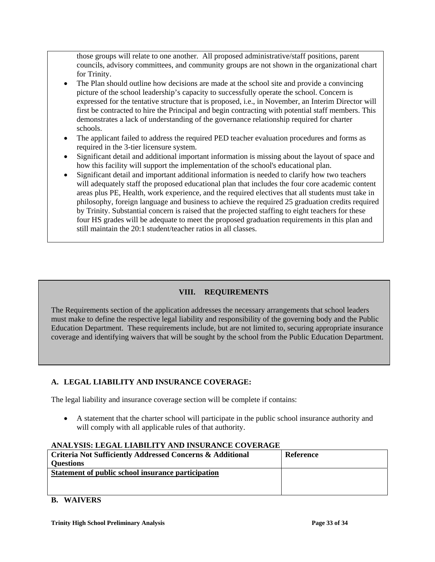those groups will relate to one another. All proposed administrative/staff positions, parent councils, advisory committees, and community groups are not shown in the organizational chart for Trinity.

- The Plan should outline how decisions are made at the school site and provide a convincing picture of the school leadership's capacity to successfully operate the school. Concern is expressed for the tentative structure that is proposed, i.e., in November, an Interim Director will first be contracted to hire the Principal and begin contracting with potential staff members. This demonstrates a lack of understanding of the governance relationship required for charter schools.
- The applicant failed to address the required PED teacher evaluation procedures and forms as required in the 3-tier licensure system.
- Significant detail and additional important information is missing about the layout of space and how this facility will support the implementation of the school's educational plan.
- Significant detail and important additional information is needed to clarify how two teachers will adequately staff the proposed educational plan that includes the four core academic content areas plus PE, Health, work experience, and the required electives that all students must take in philosophy, foreign language and business to achieve the required 25 graduation credits required by Trinity. Substantial concern is raised that the projected staffing to eight teachers for these four HS grades will be adequate to meet the proposed graduation requirements in this plan and still maintain the 20:1 student/teacher ratios in all classes.

# **VIII. REQUIREMENTS**

The Requirements section of the application addresses the necessary arrangements that school leaders must make to define the respective legal liability and responsibility of the governing body and the Public Education Department. These requirements include, but are not limited to, securing appropriate insurance coverage and identifying waivers that will be sought by the school from the Public Education Department.

# **A. LEGAL LIABILITY AND INSURANCE COVERAGE:**

The legal liability and insurance coverage section will be complete if contains:

• A statement that the charter school will participate in the public school insurance authority and will comply with all applicable rules of that authority.

# **ANALYSIS: LEGAL LIABILITY AND INSURANCE COVERAGE**

| Criteria Not Sufficiently Addressed Concerns & Additional | <b>Reference</b> |
|-----------------------------------------------------------|------------------|
| <b>Ouestions</b>                                          |                  |
| Statement of public school insurance participation        |                  |
|                                                           |                  |
|                                                           |                  |

# **B. WAIVERS**